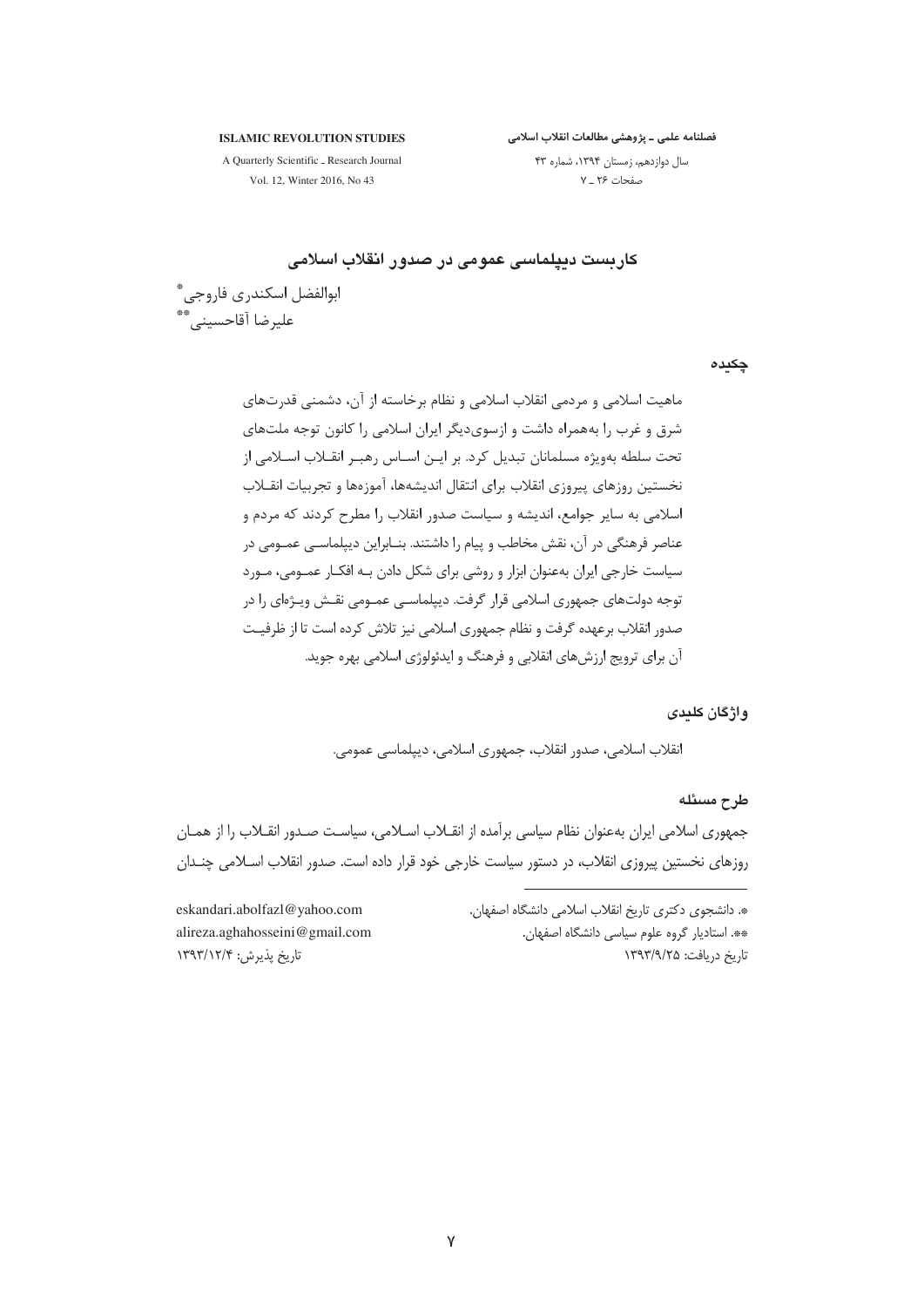**ISLAMIC REVOLUTION STUDIES** 

فصلنامه علمى ــ پژوهشى مطالعات انقلاب اسلامى

A Quarterly Scientific \_ Research Journal Vol. 12, Winter 2016, No 43

سال دوازدهم، زمستان ١٣٩٤، شماره ۴٣ صفحات ۲۶ ـ ۷

# كاريست ديپلماسي عمومي در صدور انقلاب اسلامي

ابوالفضل اسكندرى فاروجى ٌّ عليرضا آقاحسيني. \*\*

چکیدہ

ماهيت اسلامي و مردمي انقلاب اسلامي و نظام برخاسته از آن، دشمني قدرتهاي شرق و غرب را بههمراه داشت و ازسوی دیگر ایران اسلامی را کانون توجه ملتهای تحت سلطه بهویژه مسلمانان تبدیل کرد. بر ایـن اسـاس رهبـر انقـلاب اسـلامی از نخستين روزهاي پيروزي انقلاب براي انتقال انديشهها، آموزهها و تجربيات انقــلاب اسلامی به سایر جوامع، اندیشه و سیاست صدور انقلاب را مطرح کردند که مردم و عناصر فرهنگی در آن، نقش مخاطب و پیام را داشتند. بنــابراین دیپلماســی عمــومی در سیاست خارجی ایران بهعنوان ابزار و روشی برای شکل دادن بـه افکـار عمـومی، مـورد توجه دولتهای جمهوری اسلامی قرار گرفت. دیپلماسـی عمـومی نقـش ویـژهای را در صدور انقلاب برعهده گرفت و نظام جمهوری اسلامی نیز تلاش کرده است تا از ظرفیـت آن برای ترویج ارزش های انقلابی و فرهنگ و ایدئولوژی اسلامی بهره جوید.

### واژگان کلددی

انقلاب اسلامي، صدور انقلاب، جمهوري اسلامي، ديپلماسي عمومي.

طرح مسئله

جمهوری اسلامی ایران بهعنوان نظام سیاسی برآمده از انقـلاب اسـلامی، سیاسـت صـدور انقـلاب را از همـان روزهای نخستین پیروزی انقلاب، در دستور سیاست خارجی خود قرار داده است. صدور انقلاب اسـلامی چنـدان

> ». دانشجوی دکتری تاریخ انقلاب اسلامی دانشگاه اصفهان. \*\*. استادیار گروه علوم سیاسی دانشگاه اصفهان. تاریخ دریافت: ۱۳۹۳/۹/۲۵

eskandari.abolfazl@yahoo.com alireza.aghahosseini@gmail.com تاريخ پذيرش: ١٣٩٣/١٢/٤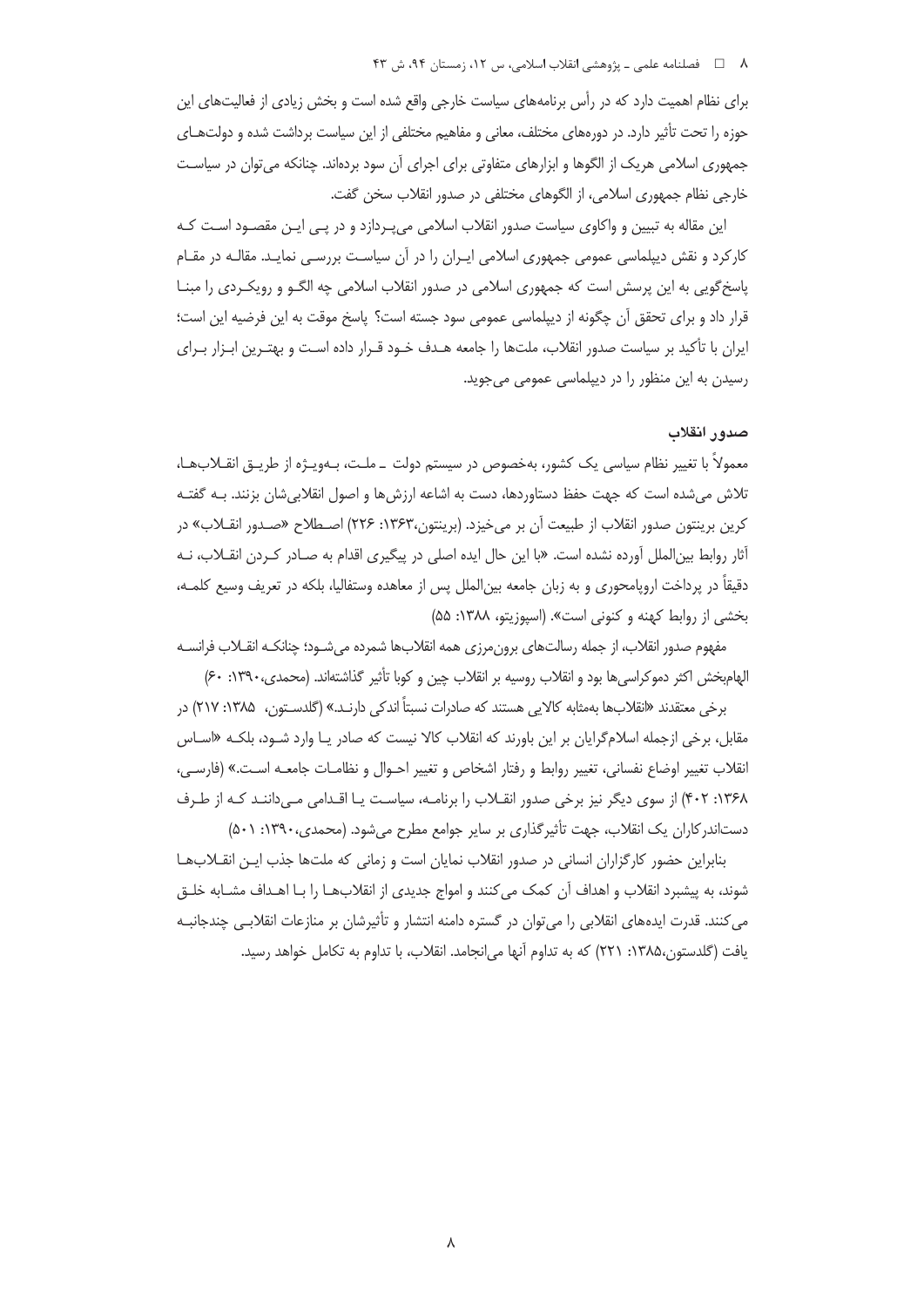#### ۸  $\Box$  فصلنامه علمی ـ یژوهشی انقلاب اسلامی، س ۱۲، زمستان ۹۴، ش ۴۳

برای نظام اهمیت دارد که در رأس برنامههای سیاست خارجی واقع شده است و بخش زیادی از فعالیتهای این حوزه را تحت تأثیر دارد. در دورههای مختلف، معانی و مفاهیم مختلفی از این سیاست برداشت شده و دولتهـای جمهوری اسلامی هریک از الگوها و ابزارهای متفاوتی برای اجرای آن سود بردهاند. چنانکه می توان در سیاست خارجي نظام جمهوري اسلامي، از الگوهاي مختلفي در صدور انقلاب سخن گفت.

این مقاله به تبیین و واکاوی سیاست صدور انقلاب اسلامی میپـردازد و در پـی ایـن مقصـود اسـت کـه کارکرد و نقش دیپلماسی عمومی جمهوری اسلامی ایـران را در آن سیاسـت بررسـی نمایـد. مقالـه در مقـام پاسخ گویی به این پرسش است که جمهوری اسلامی در صدور انقلاب اسلامی چه الگـو و رویکـردی را مبنــا قرار داد و برای تحقق اَن چگونه از دیپلماسی عمومی سود جسته است؟ پاسخ موقت به این فرضیه این است؛ ایران با تأکید بر سیاست صدور انقلاب، ملتها را جامعه هـدف خـود قـرار داده اسـت و بهتـرین ابـزار بـرای رسیدن به این منظور را در دیپلماسی عمومی می جوید.

# صدور انقلاب

معمولاً با تغییر نظام سیاسی یک کشور، بهخصوص در سیستم دولت \_ملـت، بـهویـژه از طریــق انقــلابـهـا، تلاش میشده است که جهت حفظ دستاوردها، دست به اشاعه ارزش ها و اصول انقلابیِشان بزنند. بـه گفتـه كرين برينتون صدور انقلاب از طبيعت آن بر مي خيزد. (برينتون،١٣۶٣: ٢٢۶) اصـطلاح «صـدور انقــلاب» در آثار روابط بین|لملل آورده نشده است. «با این حال ایده اصلی در پیگیری اقدام به صـادر کـردن انقـلاب، نـه دقیقاً در پرداخت اروپامحوری و به زبان جامعه بین(الملل پس از معاهده وستفالیا، بلکه در تعریف وسیع کلمـه، بخشی از روابط کهنه و کنونی است». (اسپوزیتو، ۱۳۸۸: ۵۵)

مفهوم صدور انقلاب، از جمله رسالتهاي برون،رزي همه انقلابها شمرده مي شـود؛ چنانكـه انقــلاب فرانســه الهام بخش اکثر دموکراسی ها بود و انقلاب روسیه بر انقلاب چین و کوبا تأثیر گذاشتهاند. (محمدی، ۱۳۹۰: ۶۰)

برخي معتقدند «انقلابها بهمثابه كالايي هستند كه صادرات نسبتاً اندكي دارنـد.» (گلدسـتون، ۱۳۸۵: ۲۱۷) در مقابل، برخی ازجمله اسلام گرایان بر این باورند که انقلاب کالا نیست که صادر یـا وارد شـود، بلکـه «اسـاس انقلاب تغيير اوضاع نفساني، تغيير روابط و رفتار اشخاص و تغيير احـوال و نظامـات جامعـه اسـت.» (فارسـي، ۱۳۶۸: ۴۰۲) از سوی دیگر نیز برخی صدور انقـلاب را برنامـه، سیاسـت یـا اقـدامی مـی داننـد کـه از طـرف دستاندر کاران یک انقلاب، جهت تأثیر گذاری بر سایر جوامع مطرح می شود. (محمدی، ۱۳۹۰: ۵۰۱)

بنابراین حضور کارگزاران انسانی در صدور انقلاب نمایان است و زمانی که ملتها جذب ایـن انقــلابـهـا شوند، به پیشبرد انقلاب و اهداف آن کمک می کنند و امواج جدیدی از انقلابهـا را بـا اهــداف مشــابه خلــق می کنند. قدرت ایدههای انقلابی را می توان در گستره دامنه انتشار و تأثیرشان بر منازعات انقلابـی چندجانبـه یافت (گلدستون،۱۳۸۵: ۲۲۱) که به تداوم آنها می|نجامد. انقلاب، با تداوم به تکامل خواهد رسید.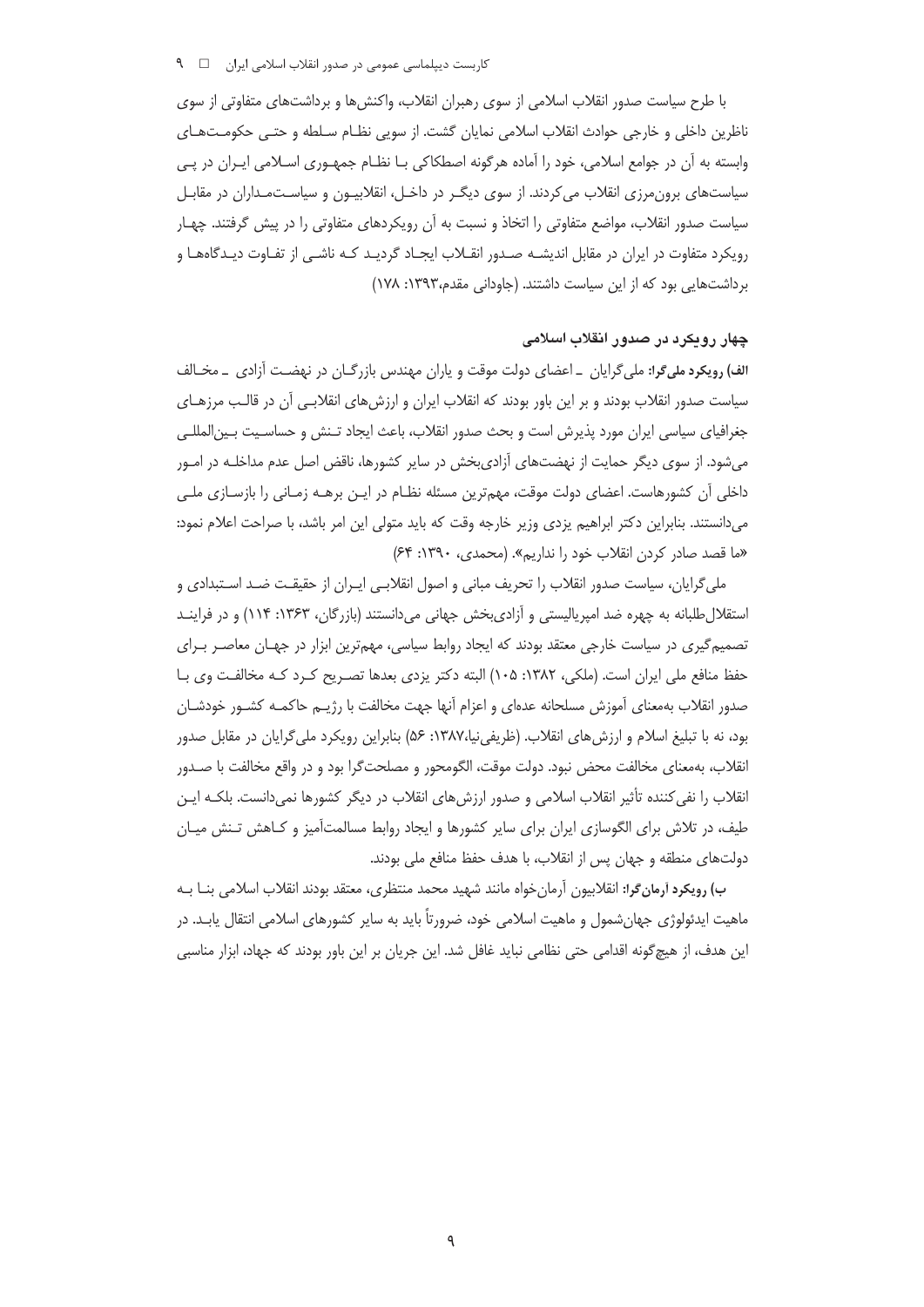با طرح سیاست صدور انقلاب اسلامی از سوی رهبران انقلاب، واکنشها و برداشتهای متفاوتی از سوی ناظرین داخلی و خارجی حوادث انقلاب اسلامی نمایان گشت. از سویی نظـام سـلطه و حتـی حکومـتهـای وابسته به آن در جوامع اسلامی، خود را آماده هرگونه اصطکاکی بـا نظـام جمهـوری اســلامی ایــران در پــی سیاستهای برونمرزی انقلاب میکردند. از سوی دیگ ردر داخـل، انقلابیـون و سیاسـتمـداران در مقابـل سیاست صدور انقلاب، مواضع متفاوتی را اتخاذ و نسبت به آن رویکردهای متفاوتی را در پیش گرفتند. چهـار رویکرد متفاوت در ایران در مقابل اندیشـه صـدور انقـلاب ایجـاد گردیـد کـه ناشـی از تفـاوت دیـدگاههـا و برداشتهایی بود که از این سیاست داشتند. (جاودانی مقدم،۱۳۹۳: ۱۷۸)

# چهار روپکرد در صدور انقلاب اسلامی

الف) رویکرد ملیگرا: ملیگرایان ــ اعضای دولت موقت و پاران مهندس بازرگــان در نهضــت أزادی ــ مخــالف سیاست صدور انقلاب بودند و بر این باور بودند که انقلاب ایران و ارزش های انقلابـی آن در قالـب مرزهـای جغرافیای سیاسی ایران مورد پذیرش است و بحث صدور انقلاب، باعث ایجاد تـنش و حساسـیت بـین|لمللـی میشود. از سوی دیگر حمایت از نهضتهای آزادیبخش در سایر کشورها، ناقض اصل عدم مداخلـه در امـور داخلی أن كشورهاست. اعضای دولت موقت، مهمترین مسئله نظـام در ایـن برهــه زمــانی را بازســازی ملــی میدانستند. بنابراین دکتر ابراهیم یزدی وزیر خارجه وقت که باید متولی این امر باشد، با صراحت اعلام نمود: «ما قصد صادر کردن انقلاب خود را نداریم». (محمدی، ۱۳۹۰: ۶۴)

ملی گرایان، سیاست صدور انقلاب را تحریف مبانی و اصول انقلابـی ایـران از حقیقـت ضـد اسـتبدادی و استقلال طلبانه به چهره ضد امپریالیستی و آزادیبخش جهانی میدانستند (بازرگان، ۱۳۶۳: ۱۱۴) و در فراینـد تصمیم گیری در سیاست خارجی معتقد بودند که ایجاد روابط سیاسی، مهمترین ابزار در جهـان معاصـر بـرای حفظ منافع ملی ایران است. (ملکی، ۱۳۸۲: ۱۰۵) البته دکتر یزدی بعدها تصـریح کـرد کـه مخالفـت وی بـا صدور انقلاب بهمعنای آموزش مسلحانه عدهای و اعزام آنها جهت مخالفت با رژیـم حاکمـه کشـور خودشـان بود، نه با تبلیغ اسلام و ارزش های انقلاب. (ظریفی نیا،۱۳۸۷: ۵۶) بنابراین رویکرد ملی گرایان در مقابل صدور انقلاب، بهمعنای مخالفت محض نبود. دولت موقت، الگومحور و مصلحتگرا بود و در واقع مخالفت با صـدور انقلاب را نفی کننده تأثیر انقلاب اسلامی و صدور ارزش های انقلاب در دیگر کشورها نمیدانست. بلکـه ایـن طیف، در تلاش برای الگوسازی ایران برای سایر کشورها و ایجاد روابط مسالمتآمیز و کـاهش تـنش میـان دولتهاي منطقه و جهان پس از انقلاب، با هدف حفظ منافع ملي بودند.

ب) رويكرد أرمان گرا: انقلابيون آرمانخواه مانند شهيد محمد منتظرى، معتقد بودند انقلاب اسلامي بنــا بــه ماهیت ایدئولوژی جهانشمول و ماهیت اسلامی خود، ضرورتاً باید به سایر کشورهای اسلامی انتقال یابـد. در این هدف، از هیچ گونه اقدامی حتی نظامی نباید غافل شد. این جریان بر این باور بودند که جهاد، ابزار مناسبی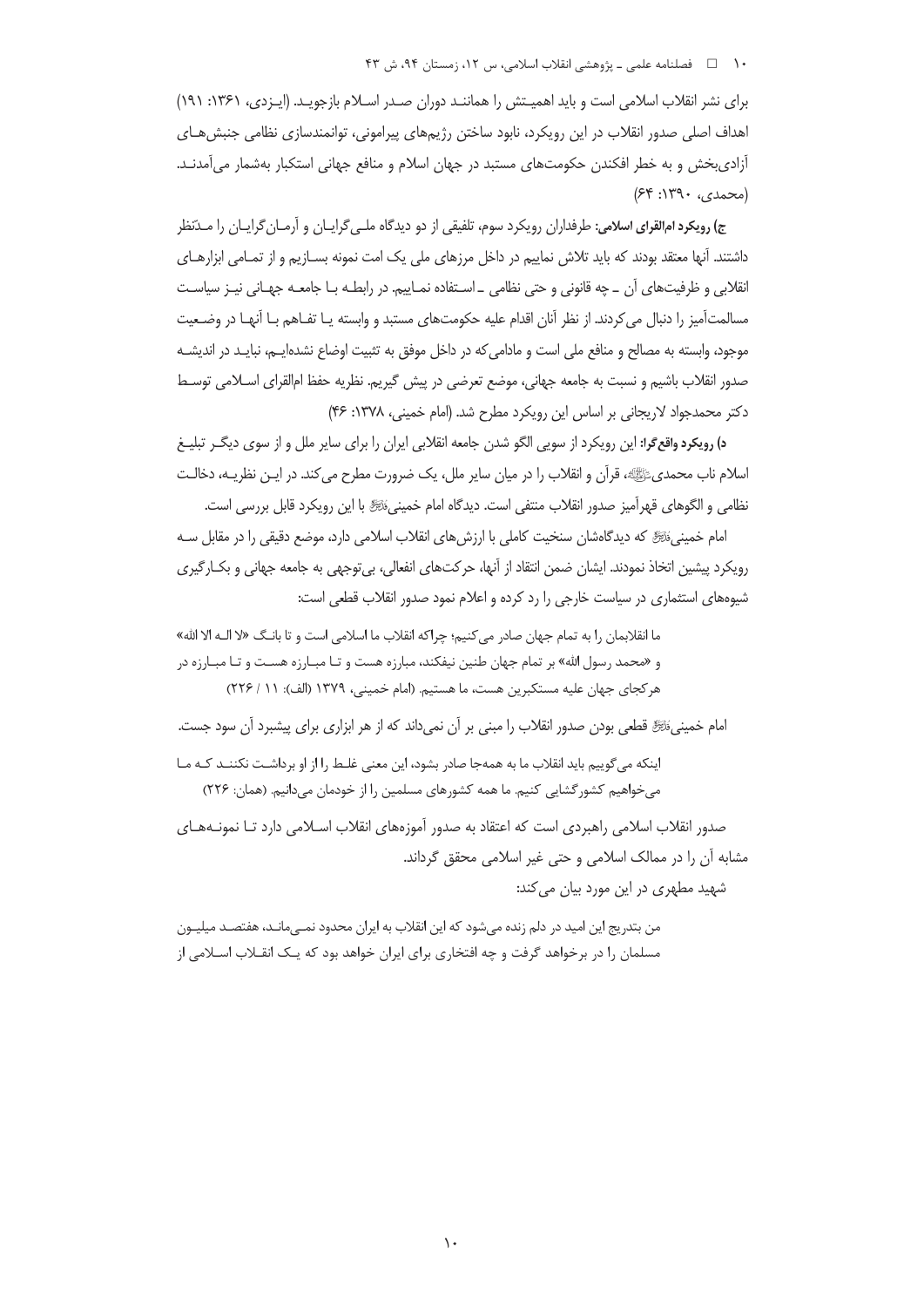#### ۱۰ فصلنامه علمي ـ يژوهشي انقلاب اسلامي، س ۱۲، زمستان ۹۴، ش ۴۳

برای نشر انقلاب اسلامی است و باید اهمیتش را همانند دوران صدر اسلام بازجوید. (ایـزدی، ۱۳۶۱: ۱۹۱) اهداف اصلی صدور انقلاب در این رویکرد، نابود ساختن رژیمهای پیرامونی، توانمندسازی نظامی جنبش هـای آزادیبخش و به خطر افکندن حکومتهای مستبد در جهان اسلام و منافع جهانی استکبار بهشمار میآمدنـد.  $(54:119 \cdot y)$ 

ج) رویکرد امالقرای اسلامی: طرفداران رویکرد سوم، تلفیقی از دو دیدگاه ملـیEرایـان و آرمـانEرایـان را مـدّنظر داشتند. آنها معتقد بودند که باید تلاش نماییم در داخل مرزهای ملی یک امت نمونه بســازیم و از تمــامی ابزارهــای نقلابی و ظرفیتهای آن \_ چه قانونی و حتی نظامی \_ اسـتفاده نمـاییم. در رابطـه بـا جامعـه جهـانی نیـز سیاسـت مسالمتآمیز را دنبال می کردند. از نظر آنان اقدام علیه حکومتهای مستبد و وابسته یـا تفـاهم بـا آنهـا در وضـعیت موجود، وابسته به مصالح و منافع ملی است و مادامی که در داخل موفق به تثبیت اوضاع نشده|یـم، نبایـد در اندیشـه صدور انقلاب باشیم و نسبت به جامعه جهانی، موضع تعرضی در پیش گیریم. نظریه حفظ امالقرای اسـلامی توسـط دكتر محمدجواد لاريجاني بر اساس اين رويكرد مطرح شد. (امام خميني، ١٣٧٨: ۴۶)

**د) رویکرد واقع گرا:** این رویکرد از سویی الگو شدن جامعه انقلابی ایران را برای سایر ملل و از سوی دیگـر تبلیـغ اسلام ناب محمدیﷺ، قرأن و انقلاب را در میان سایر ملل، یک ضرورت مطرح می کند. در ایــن نظریــه، دخالــت نظامي و الگوهاي قهرآميز صدور انقلاب منتفي است. ديدگاه امام خمينيءَتَرَّةِ با اين رويكرد قابل بررسي است.

امام خمینی، الله ای دیدگاهشان سنخیت کاملی با ارزش های انقلاب اسلامی دارد، موضع دقیقی را در مقابل سـه رويكرد پيشين اتخاذ نمودند. ايشان ضمن انتقاد از آنها، حركتهاي انفعالي، بي توجهي به جامعه جهاني و بكــارگيري شیوههای استثماری در سیاست خارجی را رد کرده و اعلام نمود صدور انقلاب قطعی است:

ما انقلابمان را به تمام جهان صادر مي كنيم؛ چراكه انقلاب ما اسلامي است و تا بانـگ «لا الـه الا الله» و «محمد رسول الله» بر تمام جهان طنین نیفکند، مبارزه هست و تـا مبـارزه هسـت و تـا مبـارزه در هر كجاي جهان عليه مستكبرين هست، ما هستيم. (امام خميني، ١٣٧٩ (الف): ١١ / ٢٢۶)

امام خمینی ﷺ قطعی بودن صدور انقلاب را مبنی بر آن نمی داند که از هر ابزاری برای پیشبرد آن سود جست.

اینکه میگوییم باید انقلاب ما به همهجا صادر بشود، این معنی غلط را از او برداشت نکننـد کـه مـا می خواهیم کشور گشایی کنیم. ما همه کشورهای مسلمین را از خودمان می دانیم. (همان: ۲۲۶)

صدور انقلاب اسلامی راهبردی است که اعتقاد به صدور آموزههای انقلاب اسـلامی دارد تـا نمونـههـای مشابه آن را در ممالک اسلامی و حتی غیر اسلامی محقق گرداند.

شهید مطهری در این مورد بیان می کند:

من بتدریج این امید در دلم زنده می شود که این انقلاب به ایران محدود نمــی،مانــد، هفتصــد میلیــون مسلمان را در برخواهد گرفت و چه افتخاری برای ایران خواهد بود که یـک انقــلاب اســلامی از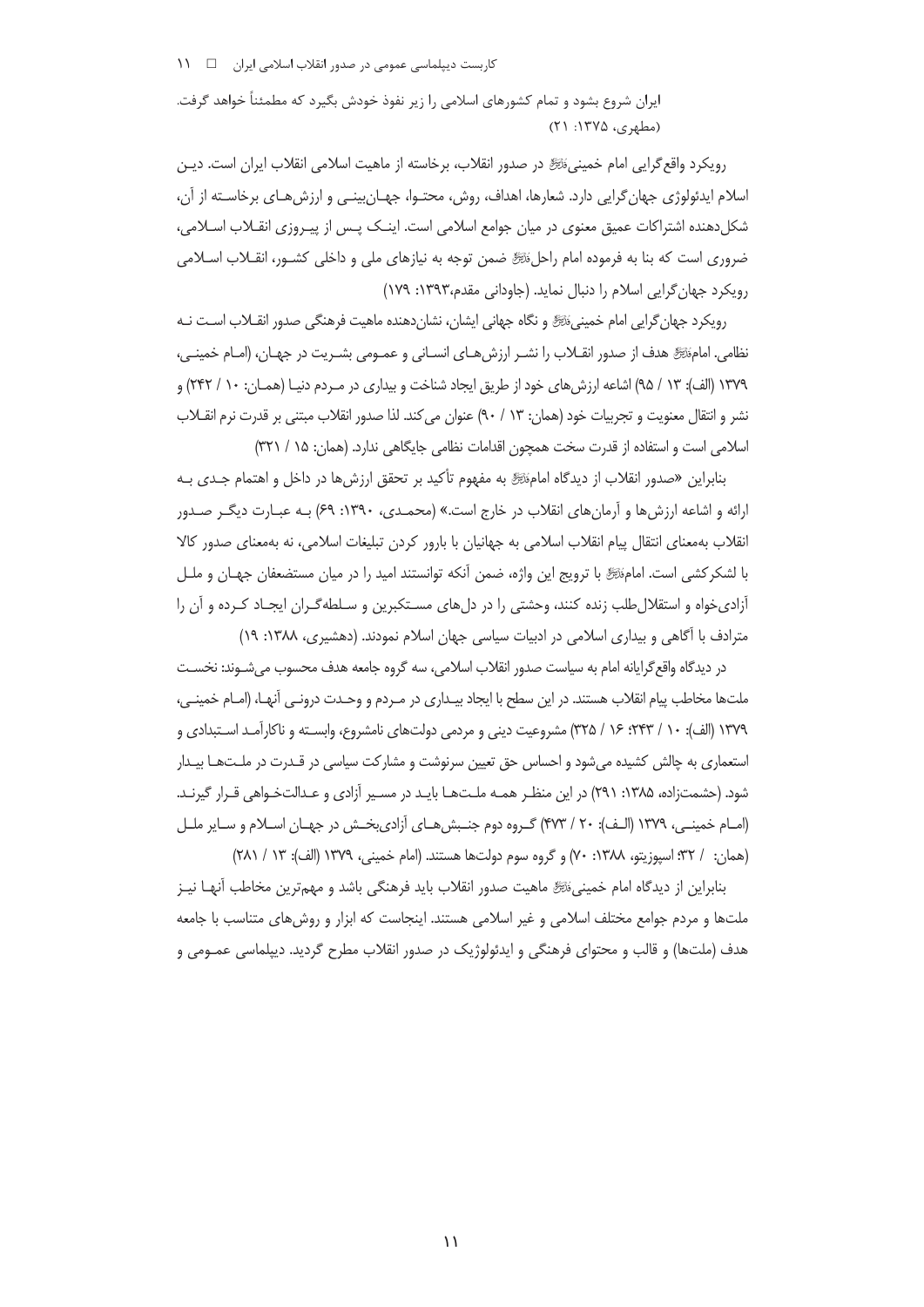ایران شروع بشود و تمام کشورهای اسلامی را زیر نفوذ خودش بگیرد که مطمئناً خواهد گرفت. (مطهری، ۱۳۷۵: ۲۱)

رويكرد واقع گرايي امام خمينيءَنَّ در صدور انقلاب، برخاسته از ماهيت اسلامي انقلاب ايران است. ديـن اسلام ایدئولوژی جهان گرایی دارد. شعارها، اهداف، روش، محتـوا، جهـان بینـی و ارزش هـای برخاسـته از آن، شکلدهنده اشتراکات عمیق معنوی در میان جوامع اسلامی است. اینـک پـس از پیـروزی انقـلاب اسـلامی، ضروری است که بنا به فرموده امام راحلﷺ ضمن توجه به نیازهای ملی و داخلی کشـور، انقــلاب اســلامی رویکرد جهان گرایی اسلام را دنبال نماید. (جاودانی مقدم،۱۳۹۳: ۱۷۹)

رویکرد جهان گرایی امام خمینیﷺ و نگاه جهانی ایشان، نشاندهنده ماهیت فرهنگی صدور انقـلاب اسـت نـه نظامي. امامَّتَّجَّ هدف از صدور انقـلاب را نشـر ارزش هـاي انسـاني و عمـومي بشـريت در جهـان، (امـام خمينـي، ١٣٧٩ (الف): ١٣ / ٩۵) اشاعه ارزش های خود از طریق ایجاد شناخت و بیداری در مـردم دنیـا (همـان: ١٠ / ٢۴٢) و نشر و انتقال معنويت و تجربيات خود (همان: ١٣ / ٩٠) عنوان مي كند. لذا صدور انقلاب مبتنى بر قدرت نرم انقــلاب اسلامی است و استفاده از قدرت سخت همچون اقدامات نظامی جایگاهی ندارد. (همان: ۱۵ / ۳۲۱)

بنابراین «صدور انقلاب از دیدگاه امامﷺ به مفهوم تأکید بر تحقق ارزشها در داخل و اهتمام جـدی بـه ارائه و اشاعه ارزش ها و آرمان های انقلاب در خارج است.» (محمدی، ۱۳۹۰: ۶۹) بـه عبـارت دیگـر صـدور انقلاب بهمعنای انتقال پیام انقلاب اسلامی به جهانیان با بارور کردن تبلیغات اسلامی، نه بهمعنای صدور کالا با لشکر کشی است. امامﷺ با ترویج این واژه، ضمن آنکه توانستند امید را در میان مستضعفان جهـان و ملـل آزادی خواه و استقلال طلب زنده کنند، وحشتی را در دل های مسـتکبرین و سـلطه گـران ایجـاد کـرده و آن را مترادف با آگاهی و بیداری اسلامی در ادبیات سیاسی جهان اسلام نمودند. (دهشیری، ۱۳۸۸: ۱۹)

در دیدگاه واقع گرایانه امام به سیاست صدور انقلاب اسلامی، سه گروه جامعه هدف محسوب می شـوند: نخسـت ملتها مخاطب پیام انقلاب هستند. در این سطح با ایجاد بیـداری در مـردم و وحـدت درونـی اًنهـا، (امـام خمینـی، ۱۳۷۹ (الف): ۱۰ / ۲۴۳؛ ۱۶ / ۳۲۵) مشروعیت دینی و مردمی دولتهای نامشروع، وابسـته و ناکارآمـد اسـتبدادی و استعماری به چالش کشیده می شود و احساس حق تعیین سرنوشت و مشارکت سیاسی در قـدرت در ملـتهـا بیـدار شود. (حشمتزاده، ۱۳۸۵: ۲۹۱) در این منظـر همـه ملـتهـا بایـد در مسـیر آزادی و عـدالتخـواهی قـرار گیرنـد. (امـام خمينـي، ١٣٧٩ (الـف): ٢٠ / ۴٧٣) گـروه دوم جنـبش هـاي آزادي بخـش در جهـان اسـلام و سـاير ملـل (همان: ١٣٢/ اسپوزيتو، ١٣٨٨: ٧٠) و گروه سوم دولتها هستند. (امام خميني، ١٣٧٩ (الف): ١٢ / ٢٨١)

بنابراین از دیدگاه امام خمینی،َنُﷺ ماهیت صدور انقلاب باید فرهنگی باشد و مهمترین مخاطب آنهـا نیـز ملتها و مردم جوامع مختلف اسلامی و غیر اسلامی هستند. اینجاست که ابزار و روش های متناسب با جامعه هدف (ملتها) و قالب و محتوای فرهنگی و ایدئولوژیک در صدور انقلاب مطرح گردید. دیپلماسی عمـومی و

 $\mathcal{L}$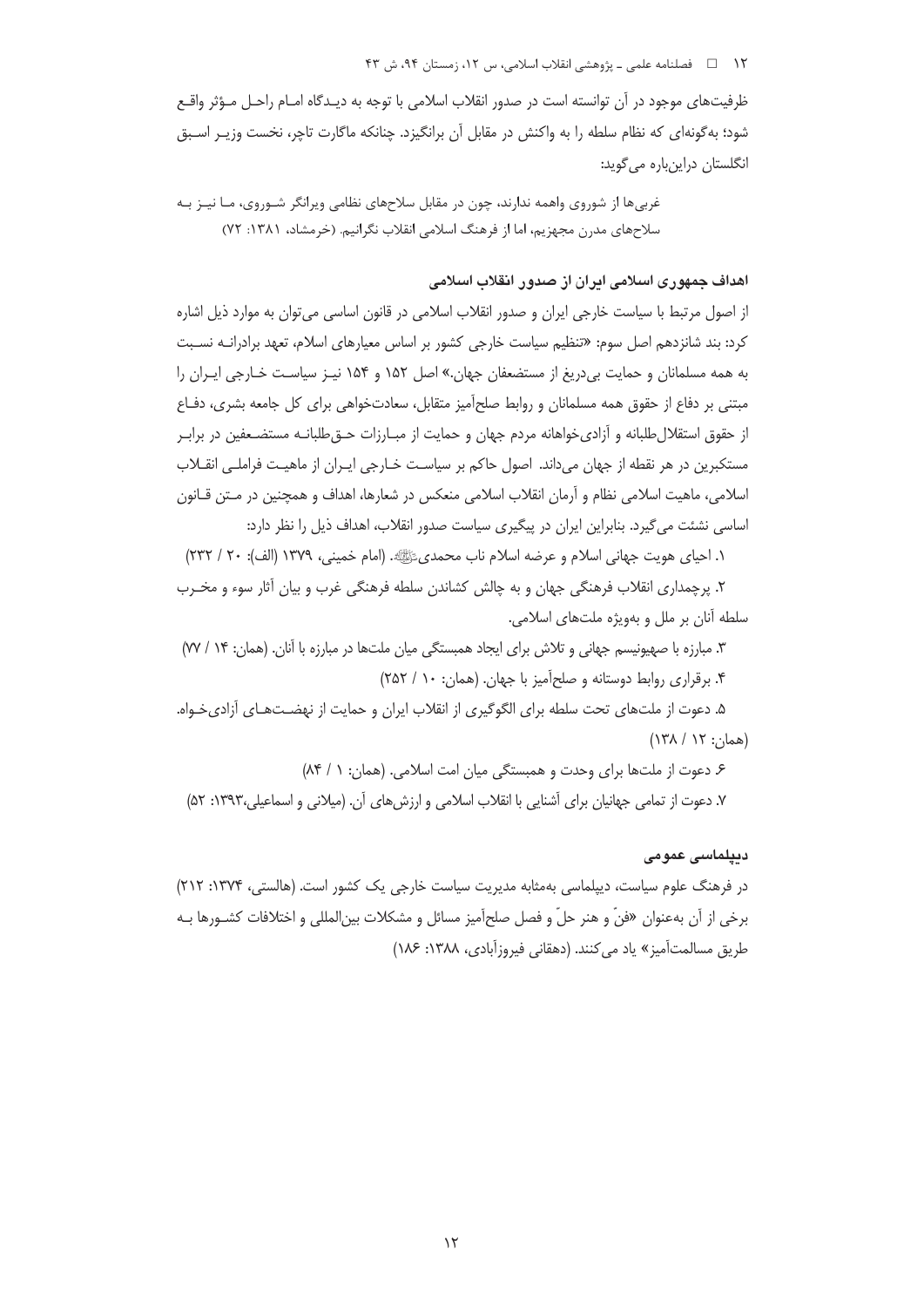۱۲ فصلنامه علمي ـ پژوهشي انقلاب اسلامي، س ۱۲، زمستان ۹۴، ش ۴۳

ظرفیتهای موجود در آن توانسته است در صدور انقلاب اسلامی با توجه به دیـدگاه امــام راحــل مــؤثر واقــع شود؛ به گونهای که نظام سلطه را به واکنش در مقابل آن برانگیزد. چنانکه ماگارت تاچر، نخست وزیـر اسـبق انگلستان دراینباره می گوید:

غربی ها از شوروی واهمه ندارند، چون در مقابل سلاحهای نظامی ویرانگر شـوروی، مـا نیـز بـه سلاحهای مدرن مجهزیم، اما از فرهنگ اسلامی انقلاب نگرانیم. (خرمشاد، ۱۳۸۱: ۷۲)

اهداف جمهوری اسلامی ایران از صدور انقلاب اسلامی

از اصول مرتبط با سیاست خارجی ایران و صدور انقلاب اسلامی در قانون اساسی می توان به موارد ذیل اشاره کرد: بند شانزدهم اصل سوم: «تنظیم سیاست خارجی کشور بر اساس معیارهای اسلام، تعهد برادرانــه نسـبت به همه مسلمانان و حمایت بیدریغ از مستضعفان جهان.» اصل ۱۵۲ و ۱۵۴ نیـز سیاسـت خـارجی ایـران را مبتنی بر دفاع از حقوق همه مسلمانان و روابط صلحآمیز متقابل، سعادتخواهی برای کل جامعه بشری، دفـاع از حقوق استقلال طلبانه و آزادی خواهانه مردم جهان و حمایت از مبـارزات حــق|طلبانــه مستضــعفین در برابـر مستكبرين در هر نقطه از جهان مي داند. اصول حاكم بر سياست خــارجي ايــران از ماهيـت فراملــي انقــلاب اسلامی، ماهیت اسلامی نظام و آرمان انقلاب اسلامی منعکس در شعارها، اهداف و همچنین در مـتن قــانون اساسی نشئت می گیرد. بنابراین ایران در پیگیری سیاست صدور انقلاب، اهداف ذیل را نظر دارد:

١. احياي هويت جهاني اسلام و عرضه اسلام ناب محمديﷺ. (امام خميني، ١٣٧٩ (الف): ٢٠ / ٢٣٢)

۲. پرچمداری انقلاب فرهنگی جهان و به چالش کشاندن سلطه فرهنگی غرب و بیان آثار سوء و مخـرب سلطه آنان بر ملل و بهویژه ملتهای اسلامی.

٣. مبارزه با صهیونیسم جهانی و تلاش برای ایجاد همبستگی میان ملتها در مبارزه با آنان. (همان: ١۴ / ٧٧) ۴. برقراری روابط دوستانه و صلح آمیز با جهان. (همان: ۱۰ / ۲۵۲)

۵. دعوت از ملتهای تحت سلطه برای الگوگیری از انقلاب ایران و حمایت از نهضـتهـای آزادیخـواه. (همان: ١٢ / ١٣٨)

۶. دعوت از ملتها برای وحدت و همبستگی میان امت اسلامی. (همان: ۱ / ۸۴) ٧. دعوت از تمامی جهانیان برای آشنایی با انقلاب اسلامی و ارزش های آن. (میلانی و اسماعیلی،١٣٩٣: ۵٢)

ديپلماسى عمومى

در فرهنگ علوم سیاست، دیپلماسی بهمثابه مدیریت سیاست خارجی یک کشور است. (هالستی، ۱۳۷۴: ۲۱۲) برخي از آن بهعنوان «فنَّ و هنر حلَّ و فصل صلح آميز مسائل و مشكلات بين|لمللي و اختلافات كشـورها بـه طريق مسالمت آميز» ياد مي كنند. (دهقاني فيروزآبادي، ١٣٨٨: ١٨۶)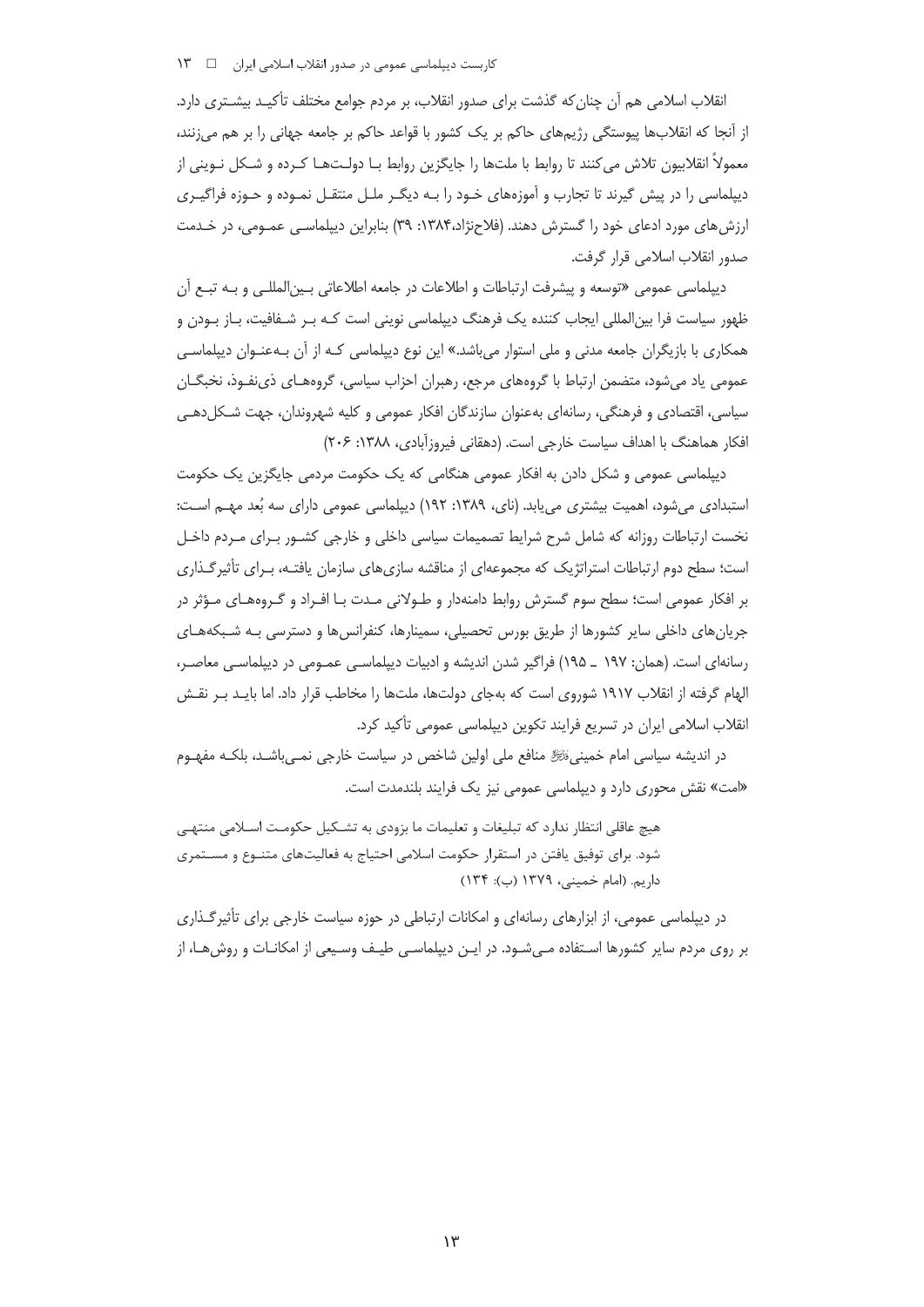انقلاب اسلامی هم آن چنان که گذشت برای صدور انقلاب، بر مردم جوامع مختلف تأکیـد بیشـتری دارد. از آنجا که انقلابها پیوستگی رژیمهای حاکم بر یک کشور با قواعد حاکم بر جامعه جهانی را بر هم می;نند، معمولاً انقلابیون تلاش میکنند تا روابط با ملتها را جایگزین روابط بـا دولـتهـا کـرده و شـکل نـوینی از دیپلماسی را در پیش گیرند تا تجارب و آموزههای خـود را بـه دیگـر ملـل منتقـل نمـوده و حـوزه فراگیـری ارزش های مورد ادعای خود را گسترش دهند. (فلاحنژاد،۱۳۸۴: ۳۹) بنابراین دیپلماسـی عمـومی، در خـدمت صدور انقلاب اسلامی قرار گرفت.

دیپلماسی عمومی «توسعه و پیشرفت ارتباطات و اطلاعات در جامعه اطلاعاتی بـین|لمللـی و بـه تبـع آن ظهور سیاست فرا بین|لمللی ایجاب کننده یک فرهنگ دیپلماسی نوینی است کـه بـر شـفافیت، بـاز بـودن و همکاری با بازیگران جامعه مدنی و ملی استوار میباشد.» این نوع دیپلماسی کـه از آن بـهعنـوان دیپلماسـی عمومی یاد میشود، متضمن ارتباط با گروههای مرجع، رهبران احزاب سیاسی، گروههـای ذیiفـوذ، نخبگـان سیاسی، اقتصادی و فرهنگی، رسانهای بهعنوان سازندگان افکار عمومی و کلیه شهروندان، جهت شـکلدهـی افكار هماهنگ با اهداف سياست خارجي است. (دهقاني فيروزآبادي، ١٣٨٨: ٢٠۶)

دیپلماسی عمومی و شکل دادن به افکار عمومی هنگامی که یک حکومت مردمی جایگزین یک حکومت استبدادی میشود، اهمیت بیشتری می یابد. (نای، ۱۳۸۹: ۱۹۲) دیپلماسی عمومی دارای سه بُعد مهـم اسـت: نخست ارتباطات روزانه که شامل شرح شرایط تصمیمات سیاسی داخلی و خارجی کشـور بـرای مـردم داخـل است؛ سطح دوم ارتباطات استراتژیک که مجموعهای از مناقشه سازی های سازمان یافتـه، بـرای تأثیر گـذاری بر افکار عمومی است؛ سطح سوم گسترش روابط دامنهدار و طـولانی مـدت بـا افـراد و گـروههـای مـؤثر در جریان های داخلی سایر کشورها از طریق بورس تحصیلی، سمینارها، کنفرانس ها و دسترسی بـه شـبکههـای رسانهای است. (همان: ۱۹۷ \_ ۱۹۵) فراگیر شدن اندیشه و ادبیات دیپلماسـی عمـومی در دیپلماسـی معاصـر، الهام گرفته از انقلاب ۱۹۱۷ شوروی است که بهجای دولتها، ملتها را مخاطب قرار داد. اما بایـد بـر نقـش انقلاب اسلامی ایران در تسریع فرایند تکوین دیپلماسی عمومی تأکید کرد.

در اندیشه سیاسی امام خمینی،ٔﷺ منافع ملی اولین شاخص در سیاست خارجی نمـی،ِباشـد، بلکـه مفهـوم «امت» نقش محوری دارد و دیپلماسی عمومی نیز یک فرایند بلندمدت است.

هیچ عاقلی انتظار ندارد که تبلیغات و تعلیمات ما بزودی به تشـکیل حکومـت اسـلامی منتهـی شود. برای توفیق یافتن در استقرار حکومت اسلامی احتیاج به فعالیتهای متنــوع و مســتمری داريم. (امام خميني، ١٣٧٩ (ب): ١٣۴)

در دیپلماسی عمومی، از ابزارهای رسانهای و امکانات ارتباطی در حوزه سیاست خارجی برای تأثیرگـذاری بر روی مردم سایر کشورها استفاده می شـود. در ایـن دیپلماسـی طیـف وسـیعی از امکانـات و روش۱هـا، از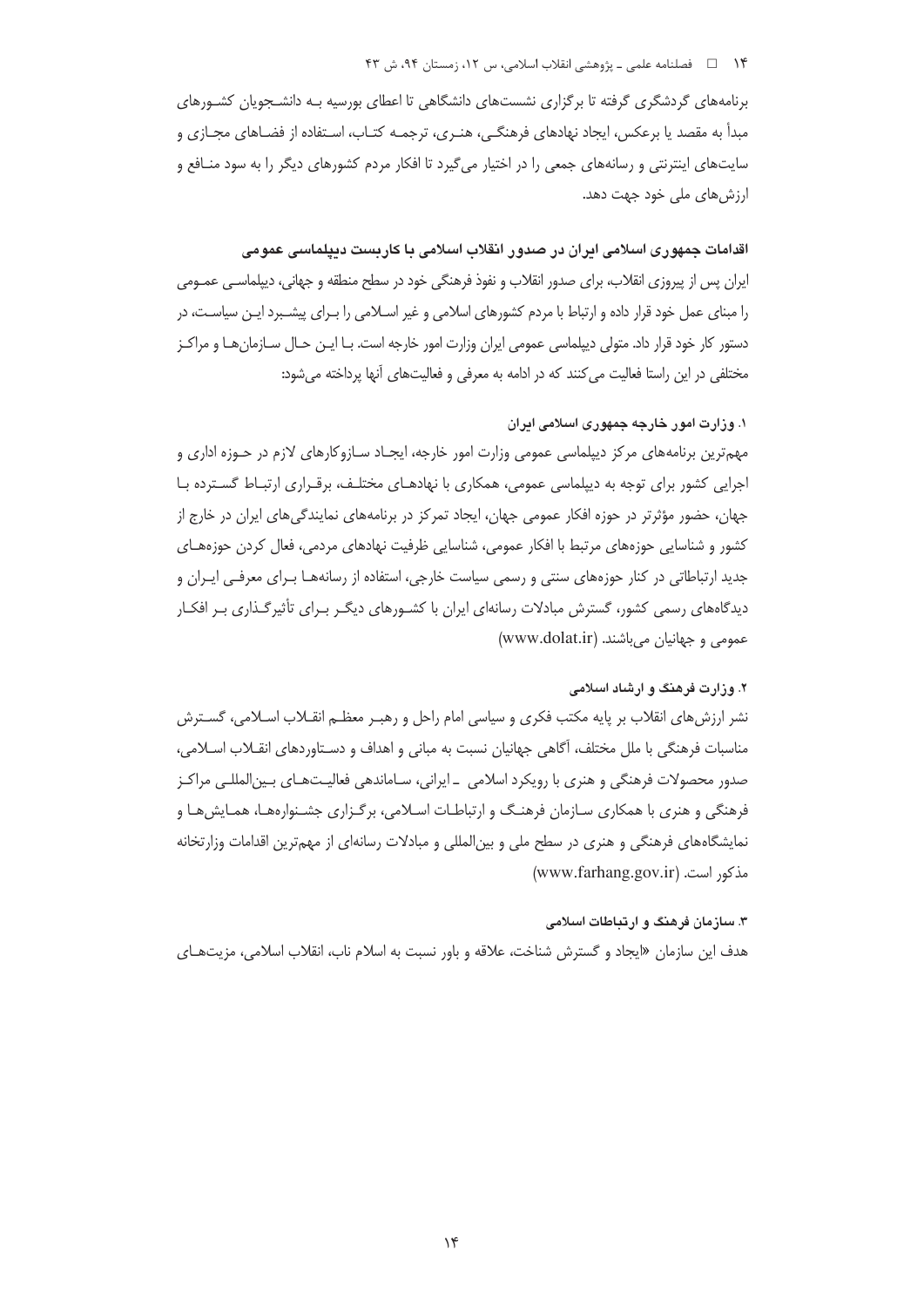#### ۱۴ فصلنامه علمي ـ پژوهشي انقلاب اسلامي، س ۱۲، زمستان ۹۴، ش ۴۳

برنامههای گردشگری گرفته تا برگزاری نشستهای دانشگاهی تا اعطای بورسیه بـه دانشـجویان کشـورهای مبدأ به مقصد یا برعکس، ایجاد نهادهای فرهنگے، هنـری، ترجمـه کتـاب، اسـتفاده از فضـاهای مجـازی و سایتهای اینترنتی و رسانههای جمعی را در اختیار میگیرد تا افکار مردم کشورهای دیگر را به سود منـافع و ارزش های ملی خود جهت دهد.

### اقدامات جمهوری اسلامی ایران در صدور انقلاب اسلامی با کاربست دیپلماسی عمومی

ایران پس از پیروزی انقلاب، برای صدور انقلاب و نفوذ فرهنگی خود در سطح منطقه و جهانی، دیپلماسـی عمـومی را مبنای عمل خود قرار داده و ارتباط با مردم کشورهای اسلامی و غیر اسـلامی را بـرای پیشـبرد ایـن سیاسـت، در دستور کار خود قرار داد. متولی دیپلماسی عمومی ایران وزارت امور خارجه است. بـا ایــن حـال ســازمان هــا و مراکــز مختلفی در این راستا فعالیت می کنند که در ادامه به معرفی و فعالیتهای آنها پرداخته می شود:

# ١. وزارت امور خارجه جمهوری اسلامی ایران

مهه ترین برنامههای مرکز دیپلماسی عمومی وزارت امور خارجه، ایجـاد سـازوکارهای لازم در حـوزه اداری و اجرایی کشور برای توجه به دیپلماسی عمومی، همکاری با نهادهـای مختلـف، برقـراری ارتبـاط گسـترده بـا جهان، حضور مؤثرتر در حوزه افکار عمومی جهان، ایجاد تمرکز در برنامههای نمایندگیهای ایران در خارج از کشور و شناسایی حوزههای مرتبط با افکار عمومی، شناسایی ظرفیت نهادهای مردمی، فعال کردن حوزههـای جدید ارتباطاتی در کنار حوزههای سنتی و رسمی سیاست خارجی، استفاده از رسانههـا بـرای معرفـی ایـران و دیدگاههای رسمی کشور، گسترش مبادلات رسانهای ایران با کشـورهای دیگـر بـرای تأثیرگـذاری بـر افکـار عمومي و جهانيان مي باشند. (www.dolat.ir)

# ۲. وزارت فرهنگ و ارشاد اسلامی

نشر ارزشهای انقلاب بر پایه مکتب فکری و سیاسی امام راحل و رهبـر معظـم انقــلاب اســلامی، گســترش مناسبات فرهنگی با ملل مختلف، آگاهی جهانیان نسبت به مبانی و اهداف و دسـتاوردهای انقــلاب اســلامی، صدور محصولات فرهنگی و هنری با رویکرد اسلامی \_ ایرانی، سـاماندهی فعالیـتهـای بـین|لمللـی مراکـز فرهنگی و هنری با همکاری سـازمان فرهنـگ و ارتباطـات اسـلامی، برگـزاری جشـنوارههـا، همـایش۵مـا و نمایشگاههای فرهنگی و هنری در سطح ملی و بین المللی و مبادلات رسانهای از مهمترین اقدامات وزارتخانه مذكور است. (www.farhang.gov.ir)

# ۳. سازمان فرهنگ و ارتباطات اسلامی هدف اين سازمان «ايجاد و گسترش شناخت، علاقه و باور نسبت به اسلام ناب، انقلاب اسلامي، مزيتهـاي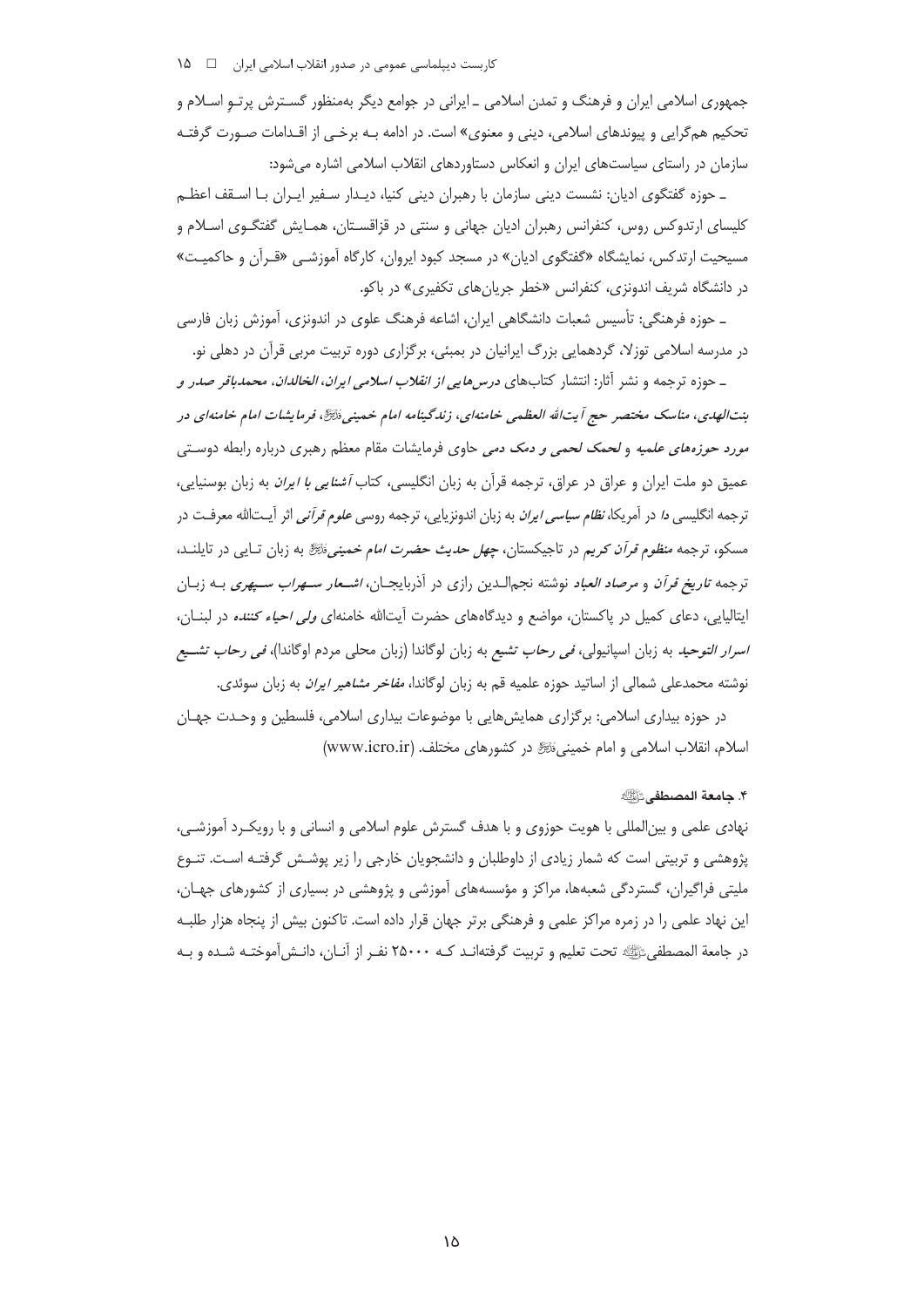جمهوري اسلامي ايران و فرهنگ و تمدن اسلامي ــ ايراني در جوامع ديگر بهمنظور گســترش پرتــو اســلام و تحکیم همگرایی و پیوندهای اسلامی، دینی و معنوی» است. در ادامه بـه برخـی از اقـدامات صـورت گرفتـه سازمان در راستای سیاستهای ایران و انعکاس دستاوردهای انقلاب اسلامی اشاره می شود:

ـ حوزه گفتگوی ادیان: نشست دینی سازمان با رهبران دینی کنیا، دیـدار سـفیر ایـران بـا اسـقف اعظـم کلیسای ارتدوکس روس، کنفرانس رهبران ادیان جهانی و سنتی در قزاقسـتان، همـایش گفتگـوی اسـلام و مسیحیت ارتدکس، نمایشگاه «گفتگوی ادیان» در مسجد کبود ایروان، کارگاه آموزشـی «قـرآن و حاکمیـت» در دانشگاه شریف اندونزی، کنفرانس «خطر جریانهای تکفیری» در باکو.

ـ حوزه فرهنگی: تأسیس شعبات دانشگاهی ایران، اشاعه فرهنگ علوی در اندونزی، آموزش زبان فارسی در مدرسه اسلامی توزلا، گردهمایی بزرگ ایرانیان در بمبئی، برگزاری دوره تربیت مربی قرآن در دهلی نو.

ــ حوزه ترجمه و نشر آثار: انتشار كتابهاى *درسهايى از انقلاب اسلامى ايران، الخالدان، محمدباقر صدر و* بنتالهدی، مناسک مختصر حج أیتالله العظمی خامنهای، زندگینامه امام خمینی، ڈیچؓ، فرمایشات امام خامنهای در *مورد حوزههای علمیه* و *لحمک لحمی و دمک دمی* حاوی فرمایشات مقام معظم رهبری درباره رابطه دوستی عمیق دو ملت ایران و عراق در عراق، ترجمه قرآن به زبان انگلیسی، کتاب *آشنایی با ایران* به زبان بوسنیایی، ترجمه انگلیسی د*ا* در آمریکا، *نظام سیاسی ایران* به زبان اندونزیایی، ترجمه روسی *علوم قرآنی* اثر آیــتالله معرفــت در مسکو، ترجمه *منظوم قرآن کریم* در تاجیکستان، *چهل حدیث حضرت امام خمینی ڈنٹی ب*ه زبان تـایبی در تایلنــد، ترجمه *تاریخ قرآن* و *مرصاد العباد* نوشته نجم|لـدین رازی در آذربایجـان، *اشــعار ســهراب ســپهری* بــه زبــان ایتالیایی، دعای کمیل در پاکستان، مواضع و دیدگاههای حضرت آیتالله خامنهای *ولی احیاء کننده* در لبنــان، *اسرار التوحيد* به زبان اسپانيولي، *في رحاب تشيع* به زبان لوگاندا (زبان محلي مردم اوگاندا)، *في رحاب تش*ميع نوشته محمدعلی شمالی از اساتید حوزه علمیه قم به زبان لوگاندا، *مفاخر مشاهیر ایران* به زبان سوئدی.

در حوزه بیداری اسلامی: برگزاری همایش هایی با موضوعات بیداری اسلامی، فلسطین و وحـدت جهـان اسلام، انقلاب اسلامی و امام خمینیﷺ در کشورهای مختلف. (www.icro.ir)

#### ۴. حامعة المصطفى عَأَيَّتِكَ

نهادی علمی و بین|لمللی با هویت حوزوی و با هدف گسترش علوم اسلامی و انسانی و با رویکـرد آموزشـی، پژوهشی و تربیتی است که شمار زیادی از داوطلبان و دانشجویان خارجی را زیر پوشـش گرفتـه اسـت. تنـوع ملیتی فراگیران، گستردگی شعبهها، مراکز و مؤسسههای آموزشی و پژوهشی در بسیاری از کشورهای جهـان، این نهاد علمی را در زمره مراکز علمی و فرهنگی برتر جهان قرار داده است. تاکنون بیش از پنجاه هزار طلبـه در جامعة المصطفى ﷺ تحت تعليم و تربيت گرفتهانـد كــه ٢٥٠٠٠ نفـر از آنــان، دانـش[موختـه شــده و بــه

۱۵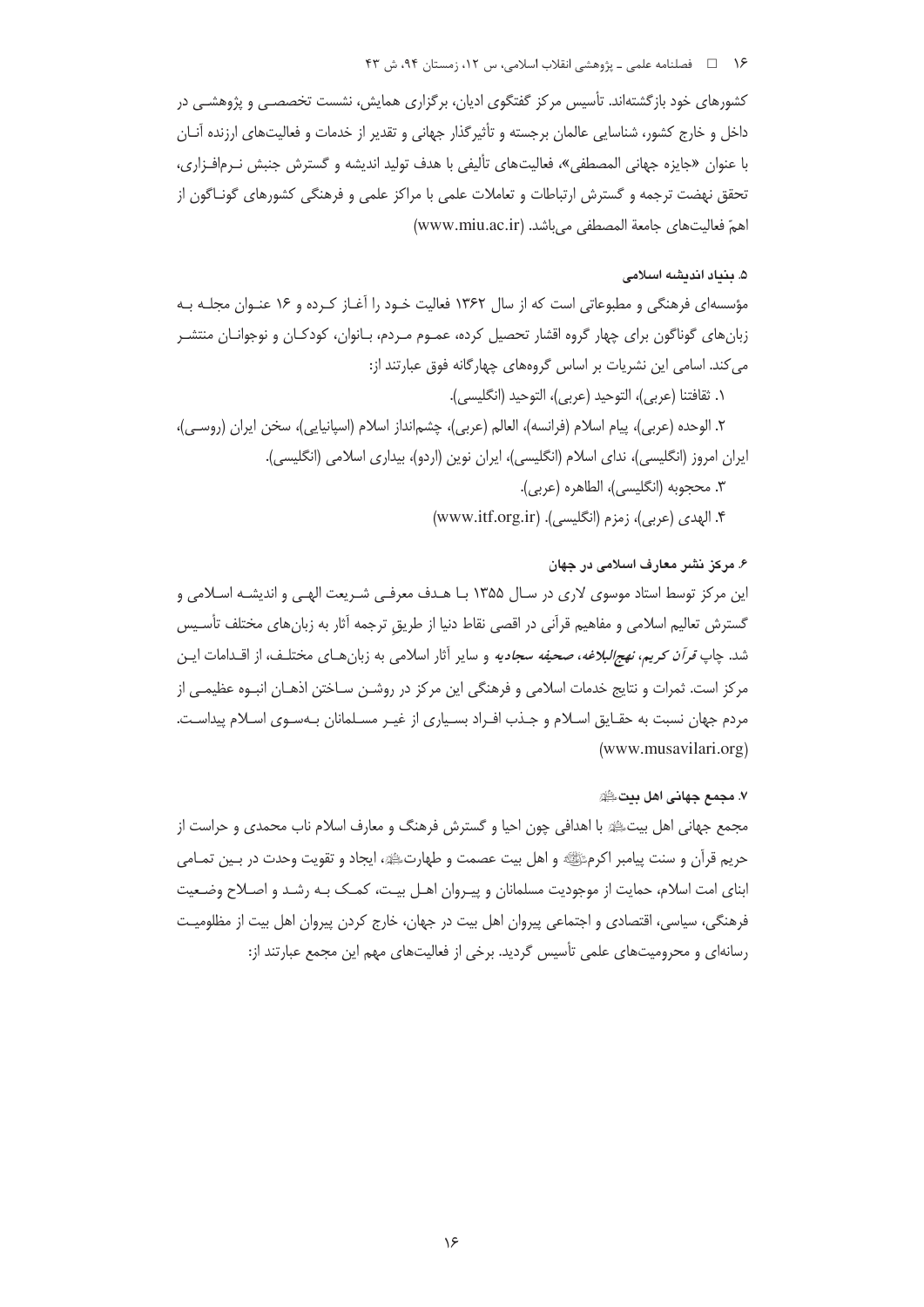### ۱۶ = فصلنامه علمی ـ یژوهشی انقلاب اسلامی، س ۱۲، زمستان ۹۴، ش ۴۳

کشورهای خود بازگشتهاند. تأسیس مرکز گفتگوی ادیان، برگزاری همایش، نشست تخصصـی و پژوهشـی در داخل و خارج کشور، شناسایی عالمان برجسته و تأثیرگذار جهانی و تقدیر از خدمات و فعالیتهای ارزنده آنـان با عنوان «جایزه جهانی المصطفی»، فعالیتهای تألیفی با هدف تولید اندیشه و گسترش جنبش نـرمافـزاری، تحقق نهضت ترجمه و گسترش ارتباطات و تعاملات علمی با مراکز علمی و فرهنگی کشورهای گونـاگون از اهمّ فعاليتهاى جامعة المصطفى مى باشد. (www.miu.ac.ir)

#### ۵. بنیاد اندیشه اسلامی

مؤسسه|ی فرهنگی و مطبوعاتی است که از سال ۱۳۶۲ فعالیت خـود را آغـاز کـرده و ۱۶ عنـوان مجلـه بـه زبان های گوناگون برای چهار گروه اقشار تحصیل کرده، عمـوم مـردم، بـانوان، کودکـان و نوجوانـان منتشـر می کند. اسامی این نشریات بر اساس گروههای چهارگانه فوق عبارتند از:

١. ثقافتنا (عربي)، التوحيد (عربي)، التوحيد (انگليسي).

۲. الوحده (عربي)، پيام اسلام (فرانسه)، العالم (عربي)، چشم|نداز اسلام (اسپانيايي)، سخن ايران (روسـي)، ایران امروز (انگلیسی)، ندای اسلام (انگلیسی)، ایران نوین (اردو)، بیداری اسلامی (انگلیسی).

- ٣. محجوبه (انگلیسی)، الطاهره (عربی).
- ۴. الهدي (عربي)، زمزم (انگليسي). (www.itf.org.ir)

### ۶. مرکز نشر معارف اسلامی در جهان

این مرکز توسط استاد موسوی لاری در سال ۱۳۵۵ بـا هـدف معرفـی شـریعت الهـی و اندیشـه اسـلامی و گسترش تعالیم اسلامی و مفاهیم قرآنی در اقصی نقاط دنیا از طریق ترجمه آثار به زبانهای مختلف تأسـیس شد. چاپ *قرآن کریم، نهجالبلاغه، صحیفه سجادیه* و سایر آثار اسلامی به زبان هـای مختلـف، از اقـدامات ایـن مرکز است. ثمرات و نتایج خدمات اسلامی و فرهنگی این مرکز در روشـن سـاختن اذهـان انبـوه عظیمـی از مردم جهان نسبت به حقـايق اسـلام و جـذب افـراد بسـياري از غيـر مسـلمانان بـهسـوي اسـلام پيداسـت. (www.musavilari.org)

#### ٧. مجمع جهاني اهل متﷺ

مجمع جهانی اهل بیتﷺ با اهدافی چون احیا و گسترش فرهنگ و معارف اسلام ناب محمدی و حراست از حريم قرآن و سنت پيامبر اكرمﷺ و اهل بيت عصمت و طهارتﷺ، ايجاد و تقويت وحدت در بـين تمـامي ابنای امت اسلام، حمایت از موجودیت مسلمانان و پیـروان اهـل بیـت، کمـک بـه رشـد و اصـلاح وضـعیت فرهنگی، سیاسی، اقتصادی و اجتماعی پیروان اهل بیت در جهان، خارج کردن پیروان اهل بیت از مظلومیت رسانهای و محرومیتهای علمی تأسیس گردید. برخی از فعالیتهای مهم این مجمع عبارتند از: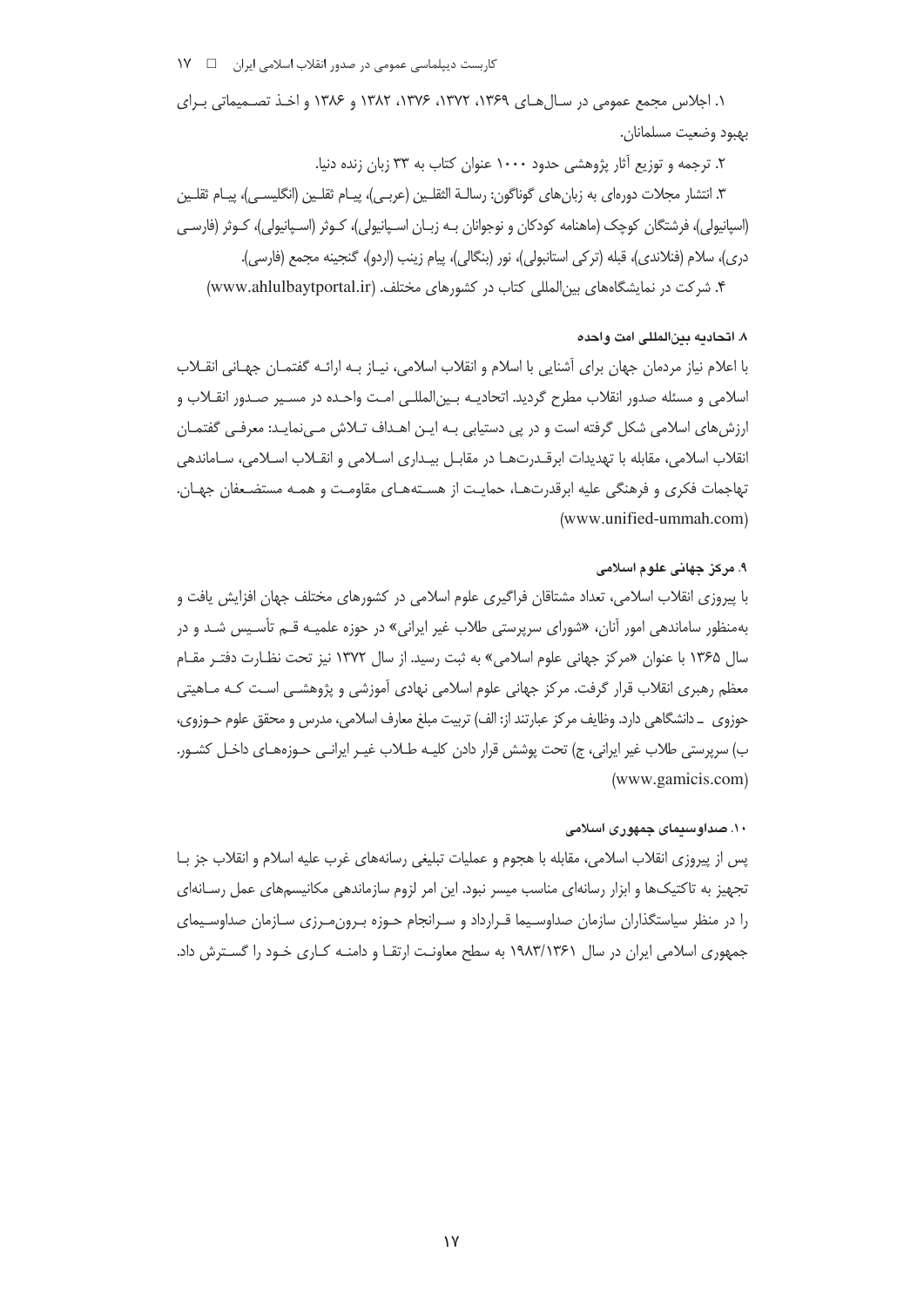۱. اجلاس مجمع عمومی در سـالهای ۱۳۶۹، ۱۳۷۲، ۱۳۷۶، ۱۳۸۲ و ۱۳۸۶ و اخـذ تصـمیماتی بـرای بهبود وضعيت مسلمانان.

۲. ترجمه و توزیع آثار پژوهشی حدود ۱۰۰۰ عنوان کتاب به ۳۳ زبان زنده دنیا. ٣. انتشار مجلات دورەاي به زبانهاي گوناگون: رسالــة الثقلــين (عربــي)، پيــام ثقلــين (انگليســي)، پيــام ثقلــين (اسپانیولی)، فرشتگان کوچک (ماهنامه کودکان و نوجوانان بـه زبـان اسـپانیولی)، کــوثر (اسـپانیولی)، کــوثر (فارسـی دري)، سلام (فنلاندي)، قبله (تركي استانبولي)، نور (بنگالي)، پيام زينب (اردو)، گنجينه مجمع (فارسي). ۴. شرکت در نمایشگاههای بین المللی کتاب در کشورهای مختلف. (www.ahlulbaytportal.ir)

### ٨. اتحاديه بين(لمللي امت واحده

با اعلام نیاز مردمان جهان برای آشنایی با اسلام و انقلاب اسلامی، نیـاز بـه ارائـه گفتمـان جهـانی انقــلاب اسلامی و مسئله صدور انقلاب مطرح گردید. اتحادیــه بـین|لمللـی امـت واحـده در مسـیر صـدور انقــلاب و ارزشهای اسلامی شکل گرفته است و در پی دستیابی بـه ایـن اهـداف تـلاش مـیiمایـد: معرفـی گفتمـان انقلاب اسلامی، مقابله با تهدیدات ابرقـدرتهـا در مقابـل بیـداری اسـلامی و انقـلاب اسـلامی، سـاماندهی تهاجمات فكرى و فرهنگى عليه ابرقدرتهـا، حمايـت از هسـتههـاى مقاومـت و همـه مستضـعفان جهـان. (www.unified-ummah.com)

# ۹. مرکز جهانی علوم اسلامی

با پیروزی انقلاب اسلامی، تعداد مشتاقان فراگیری علوم اسلامی در کشورهای مختلف جهان افزایش یافت و بهمنظور ساماندهی امور آنان، «شورای سرپرستی طلاب غیر ایرانی» در حوزه علمیـه قــم تأسـیس شــد و در سال ۱۳۶۵ با عنوان «مركز جهاني علوم اسلامي» به ثبت رسيد. از سال ۱۳۷۲ نيز تحت نظـارت دفتـر مقـام معظم رهبری انقلاب قرار گرفت. مرکز جهانی علوم اسلامی نهادی آموزشی و پژوهشـی اسـت کـه مـاهیتی حوزوى \_ دانشگاهى دارد. وظايف مركز عبارتند از: الف) تربيت مبلغ معارف اسلامى، مدرس و محقق علوم حـوزوى، ب) سرپرستی طلاب غیر ایرانی، ج) تحت پوشش قرار دادن کلیـه طـلاب غیـر ایرانـی حـوزههـای داخـل کشـور.  $(www.gamicis.com)$ 

### ۱۰. صداوسیمای جمهوری اسلامی

يس از پيروزي انقلاب اسلامي، مقابله با هجوم و عمليات تبليغي رسانههاي غرب عليه اسلام و انقلاب جز بــا تجهیز به تاکتیکها و ابزار رسانهای مناسب میسر نبود. این امر لزوم سازماندهی مکانیسمهای عمل رسـانهای را در منظر سیاستگذاران سازمان صداوسیما قـرارداد و سـرانجام حـوزه بـرون مـرزی سـازمان صداوسـیمای جمهوری اسلامی ایران در سال ۱۹۸۳/۱۳۶۱ به سطح معاونت ارتقـا و دامنـه کـاری خـود را گسـترش داد.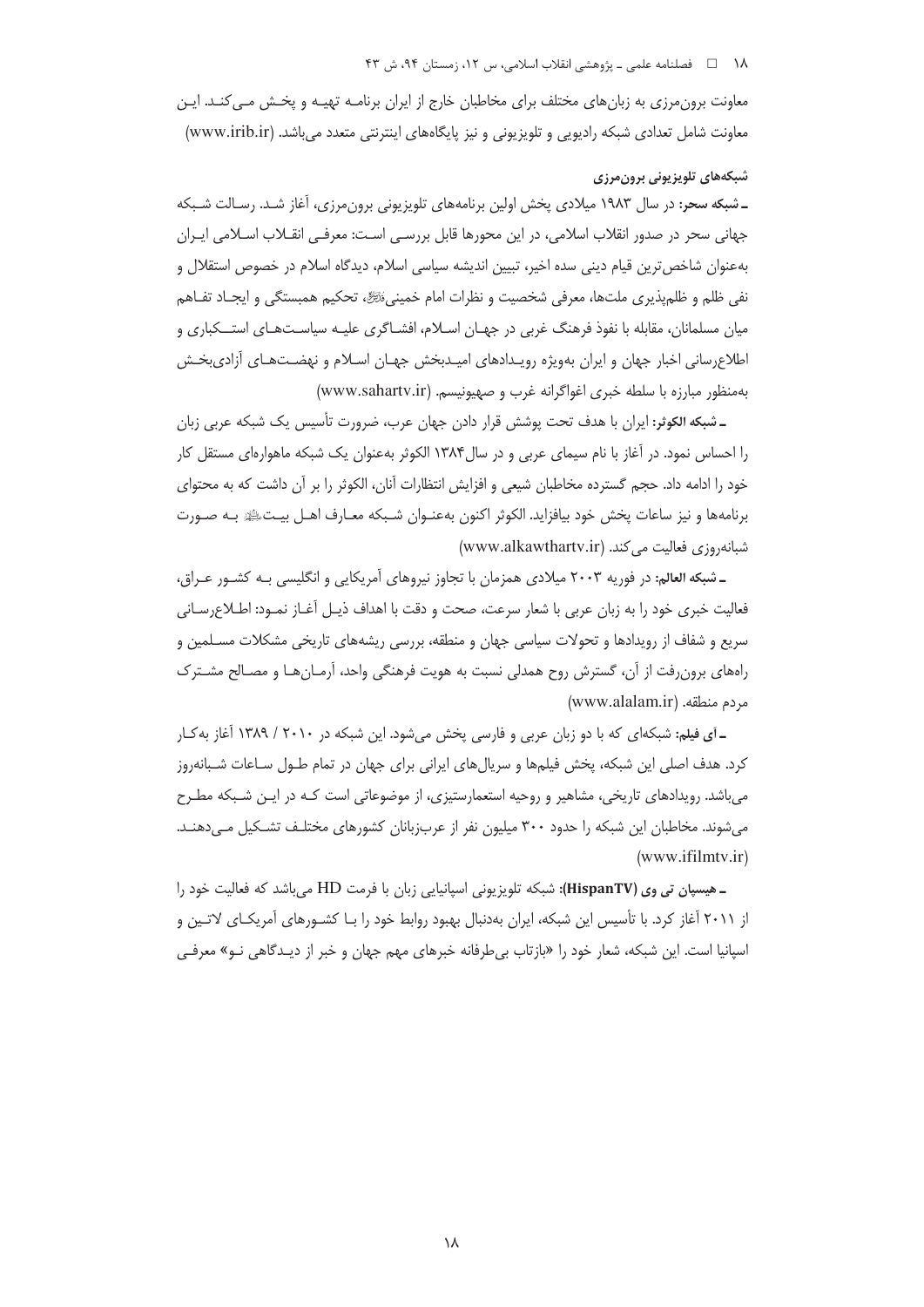#### ١٨ هـ هـ فصلنامه علمي ـ پژوهشي انقلاب اسلامي، س ١٢، زمستان ٩۴، ش ۴۳

معاونت برون مرزی به زبان های مختلف برای مخاطبان خارج از ایران برنامـه تهیـه و پخـش مـی کنـد. ایـن معاونت شامل تعدادی شبکه رادیویی و تلویزیونی و نیز پایگاههای اینترنتی متعدد می باشد. (www.irib.ir)

# شبكەهاي تلويزيونى برونمرزى

ـ شبکه سحر: در سال ۱۹۸۳ میلادی یخش اولین برنامههای تلویزیونی برون،رزی، آغاز شـد. رسـالت شـبکه جهانی سحر در صدور انقلاب اسلامی، در این محورها قابل بررسـی اسـت: معرفـی انقــلاب اســلامی ایــران بهعنوان شاخص ترین قیام دینی سده اخیر، تبیین اندیشه سیاسی اسلام، دیدگاه اسلام در خصوص استقلال و نفي ظلم و ظلم يذيري ملتها، معرفي شخصيت و نظرات امام خمينيءَنَّهِ تحكيم همبستگي و ايجـاد تفـاهم میان مسلمانان، مقابله با نفوذ فرهنگ غربی در جهـان اسـلام، افشـاگری علیـه سیاسـتـهـای استــکباری و اطلاع سانی اخبار جهان و ایران بهویژه رویـدادهای امیـدبخش جهـان اسـلام و نهضـتـهـای آزادی بخـش بهمنظور مبارزه با سلطه خبرى اغواگرانه غرب و صهيونيسم. (www.sahartv.ir)

ـ شبكه الكوثر: ايران با هدف تحت پوشش قرار دادن جهان عرب، ضرورت تأسيس يک شبكه عربي زبان را احساس نمود. در آغاز با نام سیمای عربی و در سال ۱۳۸۴ الکوثر بهعنوان یک شبکه ماهوارهای مستقل کار خود را ادامه داد. حجم گسترده مخاطبان شیعی و افزایش انتظارات آنان، الکوثر را بر آن داشت که به محتوای برنامهها و نيز ساعات پخش خود بيافزايد. الكوثر اكنون بهعنـوان شـبكه معـارف اهـل بيـتﷺ بـه صـورت شبانهروزي فعاليت مي كند. (www.alkawthartv.ir)

ـ شبکه العالم: در فوریه ۲۰۰۳ میلادی همزمان با تجاوز نیروهای آمریکایی و انگلیسی بـه کشـور عـراق، فعالیت خبری خود را به زبان عربی با شعار سرعت، صحت و دقت با اهداف ذیـل آغـاز نمـود: اطـلاع٫سـانی سریع و شفاف از رویدادها و تحولات سیاسی جهان و منطقه، بررسی ریشههای تاریخی مشکلات مسـلمین و رامهای برون رفت از آن، گسترش روح همدلی نسبت به هویت فرهنگی واحد، آرمـانهـا و مصـالح مشـترک (www.alalam.ir) مردم منطقه.

ـ آی فیلم: شبکهای که با دو زبان عربی و فارسی پخش میشود. این شبکه در ۲۰۱۰ / ۱۳۸۹ آغاز به ک کرد. هدف اصلی این شبکه، یخش فیلمها و سریالهای ایرانی برای جهان در تمام طـول سـاعات شـبانهروز میباشد. رویدادهای تاریخی، مشاهیر و روحیه استعمارستیزی، از موضوعاتی است کـه در ایـن شـبکه مطـرح میشوند. مخاطبان این شبکه را حدود ۳۰۰ میلیون نفر از عرب;بانان کشورهای مختلـف تشـکیل مـی<هنـد.  $(www.ifilmtv.ir)$ 

ـ هیسپان تی وی (HispanTV): شبکه تلویزیونی اسپانیایی زبان با فرمت HD میباشد که فعالیت خود را از ۲۰۱۱ آغاز کرد. با تأسیس این شبکه، ایران بهدنبال بهبود روابط خود را بـا کشـورهای آمریکـای لاتـین و اسپانیا است. این شبکه، شعار خود را «بازتاب بی طرفانه خبرهای مهم جهان و خبر از دیـدگاهی نـو» معرفـی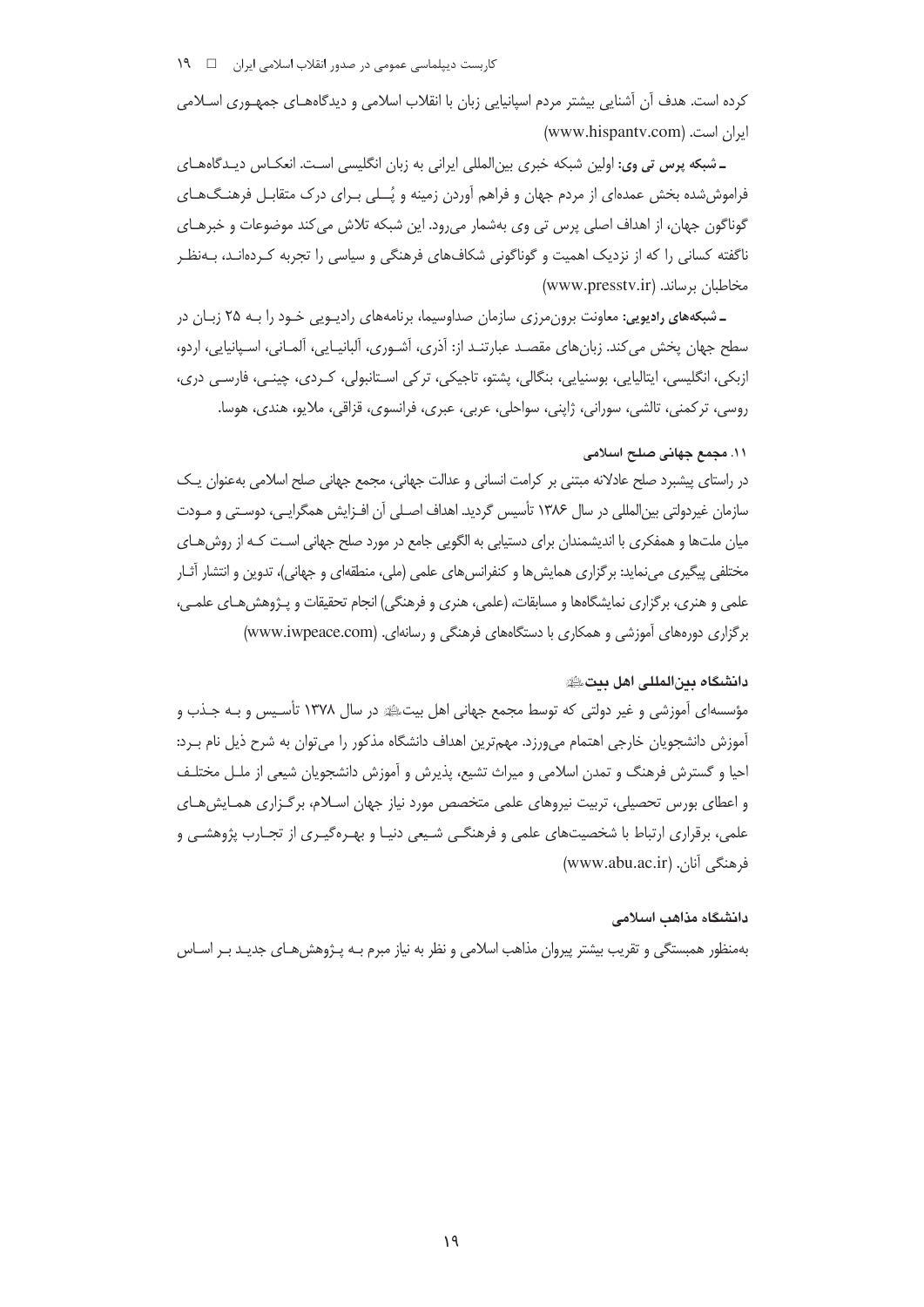کرده است. هدف آن آشنایی بیشتر مردم اسپانیایی زبان با انقلاب اسلامی و دیدگاههـای جمهـوری اسـلامی ایران است. (www.hispantv.com)

ـ شبکه پرس تی وی: اولین شبکه خبری بین|لمللی ایرانی به زبان انگلیسی است. انعکـاس دیـدگاههـای فراموششده بخش عمدهای از مردم جهان و فراهم آوردن زمینه و پُــلی بـرای درک متقابـل فرهنـگ۱هـای گوناگون جهان، از اهداف اصلي پرس تي وي بهشمار مي رود. اين شبكه تلاش مي كند موضوعات و خبرهـاي ناگفته کسانی را که از نزدیک اهمیت و گوناگونی شکافهای فرهنگی و سیاسی را تجربه کـردهانـد، بـهنظـر مخاطبان برساند. (www.presstv.ir)

ـ شبکههای رادیویی: معاونت برون،رزی سازمان صداوسیما، برنامههای رادیـویی خـود را بـه ۲۵ زبـان در سطح جهان يخش مي كند. زبانِ هاي مقصـد عبارتنـد از: آذري، آشـوري، آلبانيـايي، آلمـاني، اسـيانيايي، اردو، ازېکې، انگليسې، ايتاليايې، بوسنيايې، بنگالې، پشتو، تاجيکې، تر کې اسـتانبولې، کـردې، چينـې، فارسـې درې، روسي، تركمني، تالشي، سوراني، ژاپني، سواحلي، عربي، عبري، فرانسوي، قزاقي، ملايو، هندي، هوسا.

# ١١. مجمع جهاني صلح اسلامي

در راستای پیشبرد صلح عادلانه مبتنی بر کرامت انسانی و عدالت جهانی، مجمع جهانی صلح اسلامی بهعنوان یـک سازمان غیردولتی بینالمللی در سال ۱۳۸۶ تأسیس گردید. اهداف اصـلی آن افـزایش همگرایـی، دوسـتی و مـودت میان ملتھا و همفکری با اندیشمندان برای دستیابی به الگویی جامع در مورد صلح جهانی اسـت کـه از روش هـای مختلفی پیگیری می نماید: برگزاری همایش ها و کنفرانس های علمی (ملی، منطقهای و جهانی)، تدوین و انتشار آثـار علمی و هنری، برگزاری نمایشگاهها و مسابقات، (علمی، هنری و فرهنگی) انجام تحقیقات و پـژوهش هـای علمـی، برگزاری دورههای آموزشی و همکاری با دستگاههای فرهنگی و رسانهای. (www.iwpeace.com)

# دانشگاه بین المللی اهل بیت

مؤسسه|ی اُموزشی و غیر دولتی که توسط مجمع جهانی اهل بیتﷺ در سال ۱۳۷۸ تأسـیس و بـه جـذب و آموزش دانشجویان خارجی اهتمام میورزد. مهمترین اهداف دانشگاه مذکور را می توان به شرح ذیل نام برد: احیا و گسترش فرهنگ و تمدن اسلامی و میراث تشیع، پذیرش و آموزش دانشجویان شیعی از ملـل مختلـف و اعطای بورس تحصیلی، تربیت نیروهای علمی متخصص مورد نیاز جهان اسـلام، برگـزاری همـایشهـای علمی، برقراری ارتباط با شخصیتهای علمی و فرهنگـی شـیعی دنیـا و بهـرهگیـری از تجـارب پژوهشـی و فرهنگی آنان. (www.abu.ac.ir)

### دانشگاه مذاهب اسلامی

بهمنظور همبستگی و تقریب بیشتر پیروان مذاهب اسلامی و نظر به نیاز مبرم بـه پـژوهش۵هـای جدیـد بـر اسـاس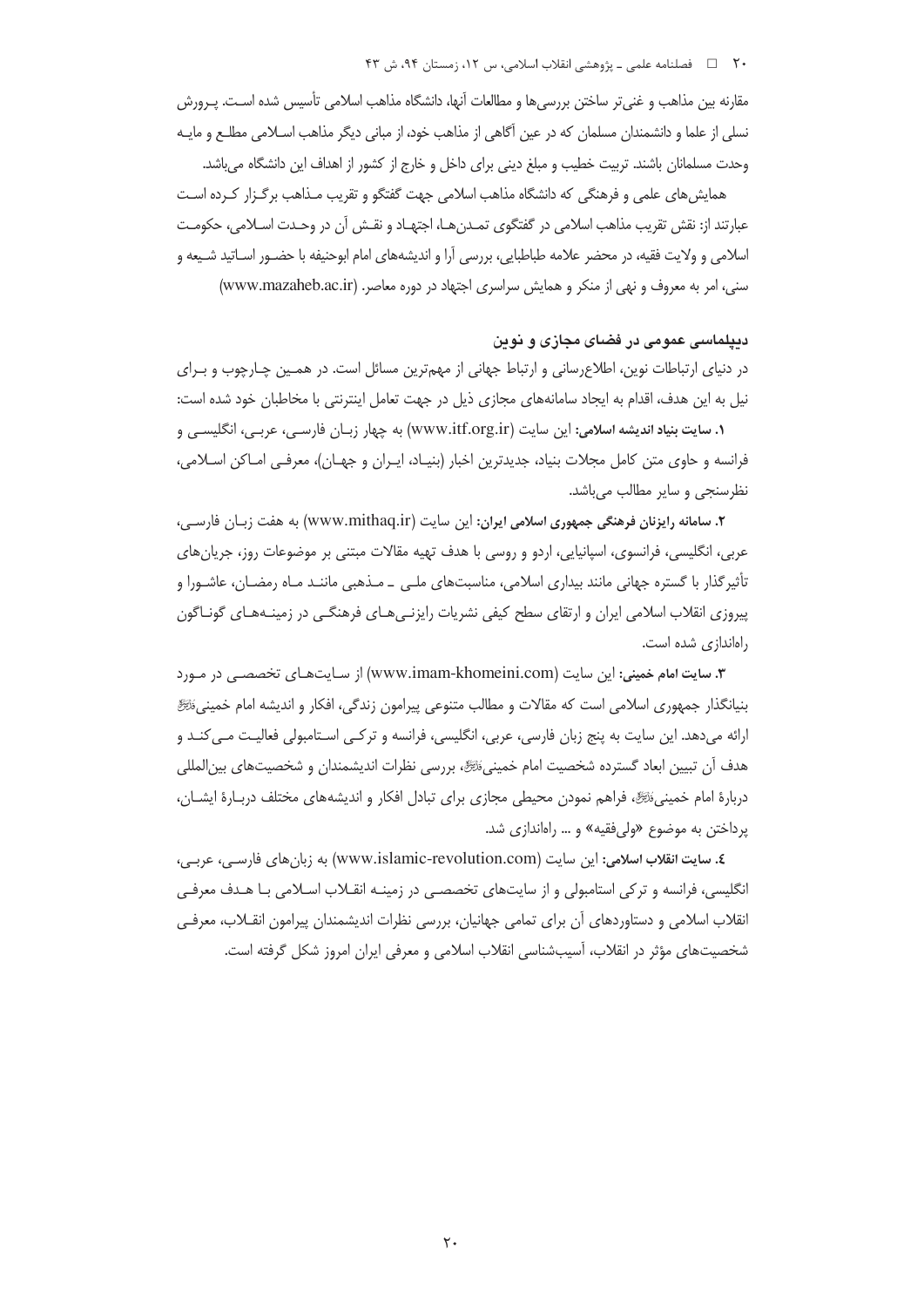مقارنه بین مذاهب و غنی تر ساختن بررسی ها و مطالعات آنها، دانشگاه مذاهب اسلامی تأسیس شده اسـت. پـرورش نسلی از علما و دانشمندان مسلمان که در عین آگاهی از مذاهب خود، از مبانی دیگر مذاهب اسـلامی مطلـع و مایـه وحدت مسلمانان باشند. تربیت خطیب و مبلغ دینی برای داخل و خارج از کشور از اهداف این دانشگاه میباشد.

همایش های علمی و فرهنگی که دانشگاه مذاهب اسلامی جهت گفتگو و تقریب مـذاهب برگـزار کـرده اسـت عبارتند از: نقش تقريب مذاهب اسلامي در گفتگوي تمـدن هـا، اجتهـاد و نقـش آن در وحـدت اسـلامي، حكومـت اسلامی و ولایت فقیه، در محضر علامه طباطبایی، بررسی آرا و اندیشههای امام ابوحنیفه با حضـور اســاتید شــیعه و سنی، امر به معروف و نهی از منکر و همایش سراسری اجتهاد در دوره معاصر. (www.mazaheb.ac.ir)

# دیپلماسی عمومی در فضای مجازی و نوین

در دنیای ارتباطات نوین، اطلاع رسانی و ارتباط جهانی از مهمترین مسائل است. در همـین چـارچوب و بـرای نیل به این هدف، اقدام به ایجاد سامانههای مجازی ذیل در جهت تعامل اینترنتی با مخاطبان خود شده است:

**۱. سایت بنیاد اندیشه اسلامی:** این سایت (www.itf.org.ir) به چهار زبـان فارسـی، عربـی، انگلیسـی و فرانسه و حاوی متن کامل مجلات بنیاد، جدیدترین اخبار (بنیـاد، ایـران و جهـان)، معرفـی امـاکن اسـلامی، نظرسنجي و ساير مطالب مي باشد.

۲. سامانه رایزنان فرهنگی جمهوری اسلامی ایران: این سایت (www.mithaq.ir) به هفت زبـان فارسـی، عربي، انگليسي، فرانسوي، اسپانيايي، اردو و روسي با هدف تهيه مقالات مبتني بر موضوعات روز، جريان هاي تأثیر گذار با گستره جهانی مانند بیداری اسلامی، مناسبتهای ملـی \_ مـذهبی ماننـد مـاه رمضـان، عاشـورا و پیروزی انقلاب اسلامی ایران و ارتقای سطح کیفی نشریات رایزنـیهـای فرهنگـی در زمینـههـای گونـاگون راهاندازی شده است.

**۳. سایت امام خمینی: این سایت (www.imam-khomeini.com) از سـایتهـای تخصصـی در مـورد** بنیانگذار جمهوری اسلامی است که مقالات و مطالب متنوعی پیرامون زندگی، افکار و اندیشه امام خمینی ﷺ ارائه می۱دهد. این سایت به پنج زبان فارسی، عربی، انگلیسی، فرانسه و ترکـبی اسـتامبولی فعالیـت مـبی کنـد و هدف أن تبيين ابعاد گسترده شخصيت امام خمينيﷺ، بررسي نظرات انديشمندان و شخصيتهاي بين|لمللي دربارهٔ امام خمینی،ٔنسِگا، فراهم نمودن محیطی مجازی برای تبادل افکار و اندیشههای مختلف دربـارهٔ ایشــان، یرداختن به موضوع «ولی فقیه» و … راهاندازی شد.

**٤. سايت انقلاب اسلامي:** اين سايت (www.islamic-revolution.com) به زبان هاي فارسے، عربے، انگلیسی، فرانسه و ترکی استامبولی و از سایتهای تخصصـی در زمینـه انقـلاب اسـلامی بـا هـدف معرفـی انقلاب اسلامی و دستاوردهای آن برای تمامی جهانیان، بررسی نظرات اندیشمندان پیرامون انقـلاب، معرفـی شخصیتهای مؤثر در انقلاب، آسیبشناسی انقلاب اسلامی و معرفی ایران امروز شکل گرفته است.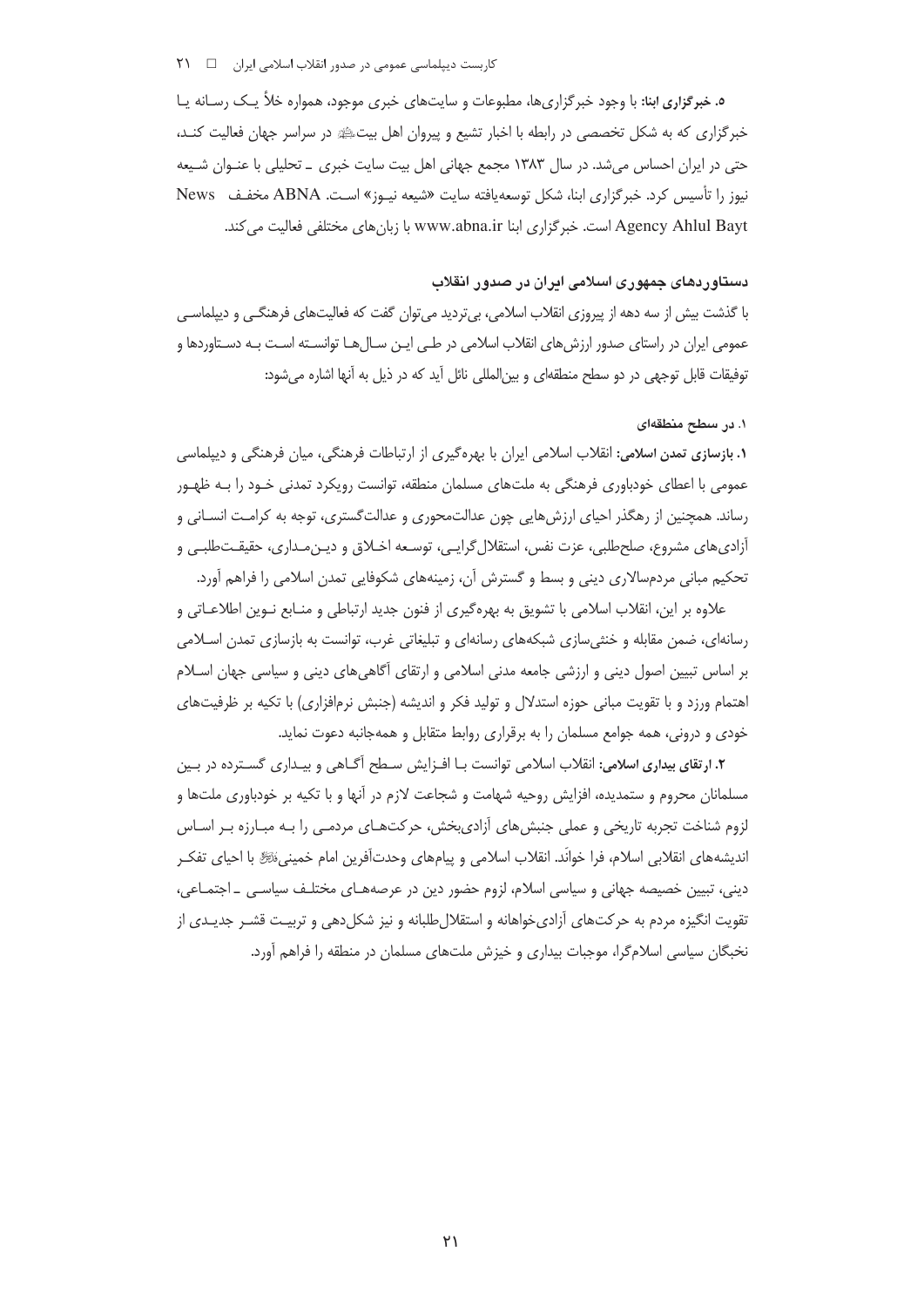### کاربست دیپلماسی عمومی در صدور انقلاب اسلامی ایران ۔ □ 71

ه. خبر گزاری ابنا: با وجود خبر گزاری ها، مطبوعات و سایت های خبری موجود، همواره خلأ یـک رسـانه یـا خبرگزاری که به شکل تخصصی در رابطه با اخبار تشیع و پیروان اهل بیتﷺ در سراسر جهان فعالیت کنـد، حتی در ایران احساس می شد. در سال ۱۳۸۳ مجمع جهانی اهل بیت سایت خبری \_ تحلیلی با عنـوان شـیعه نیوز را تأسیس کرد. خبرگزاری ابنا، شکل توسعه یافته سایت «شیعه نیـوز» اسـت. ABNA مخفـف News Agency Ahlul Bayt است. خبر گزاری ابنا www.abna.ir با زبان های مختلفی فعالیت می کند.

### دستاوردهای جمهوری اسلامی ادران در صدور انقلاب

با گذشت بیش از سه دهه از پیروزی انقلاب اسلامی، بیتردید میتوان گفت که فعالیتهای فرهنگے و دیپلماسے عمومی ایران در راستای صدور ارزش های انقلاب اسلامی در طـی ایـن سـال هـا توانسـته اسـت بـه دسـتاوردها و توفيقات قابل توجهي در دو سطح منطقهاي و بين|لمللي نائل آيد كه در ذيل به آنها اشاره مي شود:

### ١. در سطح منطقهای

۱. بازسازی تمدن اسلامی: انقلاب اسلامی ایران با بهرهگیری از ارتباطات فرهنگی، میان فرهنگی و دیپلماسی عمومي با اعطاي خودباوري فرهنگي به ملتهاي مسلمان منطقه، توانست رويكرد تمدني خـود را بـه ظهـور رساند. همچنین از رهگذر احیای ارزشهایی چون عدالتمحوری و عدالتگستری، توجه به کرامت انسـانی و آزادی های مشروع، صلحطلبی، عزت نفس، استقلال گرایبی، توسـعه اخــلاق و دیــز،مـداری، حقیقــتـطلبـی و تحکیم مبانی مردمسالاری دینی و بسط و گسترش آن، زمینههای شکوفایی تمدن اسلامی را فراهم آورد.

علاوه بر این، انقلاب اسلامی با تشویق به بهرهگیری از فنون جدید ارتباطی و منـابع نـوین اطلاعـاتی و رسانهای، ضمن مقابله و خنثی سازی شبکههای رسانهای و تبلیغاتی غرب، توانست به بازسازی تمدن اسلامی بر اساس تبیین اصول دینی و ارزشی جامعه مدنی اسلامی و ارتقای آگاهی های دینی و سیاسی جهان اسـلام اهتمام ورزد و با تقویت مبانی حوزه استدلال و تولید فکر و اندیشه (جنبش نرمافزاری) با تکیه بر ظرفیتهای خودی و درونی، همه جوامع مسلمان را به برقراری روابط متقابل و همهجانبه دعوت نماید.

**۲.** ارتقای بیداری اسلامی: انقلاب اسلامی توانست بـا افـزایش سـطح آگــاهی و بیـداری گســترده در بــین مسلمانان محروم و ستمدیده، افزایش روحیه شهامت و شجاعت لازم در آنها و با تکیه بر خودباوری ملتها و لزوم شناخت تجربه تاریخی و عملی جنبشهای آزادیبخش، حرکتهای مردمـی را بـه مبـارزه بـر اسـاس اندیشههای انقلابی اسلام، فرا خوانَد. انقلاب اسلامی و پیامهای وحدتآفرین امام خمینی،ٔﷺ با احیای تفکـر دینی، تبیین خصیصه جهانی و سیاسی اسلام، لزوم حضور دین در عرصههـای مختلـف سیاسـی \_ اجتمـاعی، تقویت انگیزه مردم به حرکتهای آزادیخواهانه و استقلالطلبانه و نیز شکلدهی و تربیت قشـر جدیـدی از نخبگان سیاسی اسلامگرا، موجبات بیداری و خیزش ملتهای مسلمان در منطقه را فراهم آورد.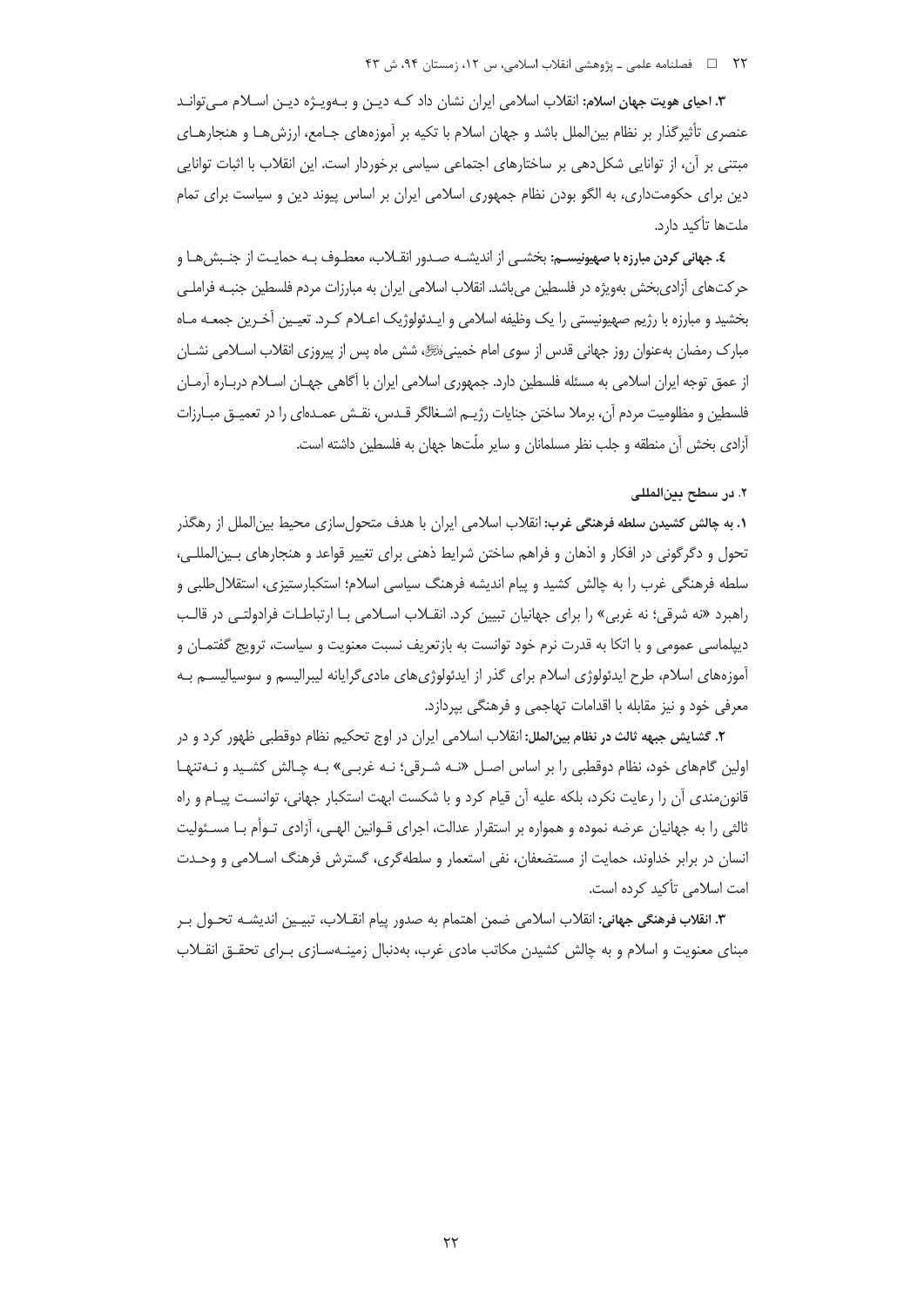#### ۲۲ □ فصلنامه علمي ـ پژوهشي انقلاب اسلامي، س ١٢، زمستان ٩۴، ش ۴۳

**۳.** اح**یای هویت جهان اسلام:** انقلاب اسلامی ایران نشان داد کـه دیـن و بـهویـژه دیـن اسـلام مـی¤وانـد عنصری تأثیرگذار بر نظام بین|لملل باشد و جهان اسلام با تکیه بر آموزههای جـامع، ارزشهـا و هنجارهـای مبتنی بر آن، از توانایی شکل۱هی بر ساختارهای اجتماعی سیاسی برخوردار است. این انقلاب با اثبات توانایی دین برای حکومتداری، به الگو بودن نظام جمهوری اسلامی ایران بر اساس پیوند دین و سیاست برای تمام ملتها تأكيد دارد.

٤. جهاني كردن مبارزه با صهيونيســم: بخشــي از انديشــه صــدور انقــلاب، معطــوف بــه حمايــت از جنــبش6ــا و حرکتهای آزادیبخش بهویژه در فلسطین میباشد. انقلاب اسلامی ایران به مبارزات مردم فلسطین جنبـه فراملـی بخشید و مبارزه با رژیم صهیونیستی را یک وظیفه اسلامی و ایـدئولوژیک اعـلام کـرد. تعیـین آخـرین جمعــه مــاه مبارک رمضان بهعنوان روز جهانی قدس از سوی امام خمینیﷺ، شش ماه پس از پیروزی انقلاب اسـلامی نشــان از عمق توجه ایران اسلامی به مسئله فلسطین دارد. جمهوری اسلامی ایران با آگاهی جهـان اسـلام دربـاره آرمـان فلسطین و مظلومیت مردم آن، برملا ساختن جنایات رژیــم اشــغالگر قــدس، نقــش عمــدمای را در تعمیــق مبــارزات آزادی بخش آن منطقه و جلب نظر مسلمانان و سایر ملّتها جهان به فلسطین داشته است.

### ٢. در سطح بينالمللي

**۱. به چالش کشیدن سلطه فرهنگی غرب: ا**نقلاب اسلامی ایران با هدف متحول سازی محیط بین|لملل از رهگذر تحول و دگرگونی در افکار و اذهان و فراهم ساختن شرایط ذهنی برای تغییر قواعد و هنجارهای بـین|لمللـی، سلطه فرهنگی غرب را به چالش کشید و پیام اندیشه فرهنگ سیاسی اسلام؛ استکبارستیزی، استقلال طلبی و راهبرد «نه شرقي؛ نه غربي» را براي جهانيان تبيين كرد. انقـلاب اسـلامي بـا ارتباطـات فرادولتـي در قالـب دیپلماسی عمومی و با اتکا به قدرت نرم خود توانست به بازتعریف نسبت معنویت و سیاست، ترویج گفتمـان و آموزههای اسلام، طرح ایدئولوژی اسلام برای گذر از ایدئولوژیهای مادیگرایانه لیبرالیسم و سوسیالیســم بــه معرفي خود و نيز مقابله با اقدامات تهاجمي و فرهنگي بيردازد.

**۲.** گش**ایش جبهه ثالث در نظام بینالملل: ا**نقلاب اسلامی ایران در اوج تحکیم نظام دوقطبی ظهور کرد و در اولین گامهای خود، نظام دوقطبی را بر اساس اصـل «نـه شـرقی؛ نـه غربـی» بـه چـالش کشـید و نـهتنهـا قانون مندی آن را رعایت نکرد، بلکه علیه آن قیام کرد و با شکست ابهت استکبار جهانی، توانسـت پیـام و راه ثالثی را به جهانیان عرضه نموده و همواره بر استقرار عدالت، اجرای قــوانین الهــی، آزادی تــوأم بــا مســئولیت انسان در برابر خداوند، حمایت از مستضعفان، نفی استعمار و سلطه گری، گسترش فرهنگ اسـلامی و وحـدت امت اسلامی تأکید کرده است.

**٣.** ا**نقلاب فرهنگي جهاني:** انقلاب اسلامي ضمن اهتمام به صدور پيام انقــلاب، تبيــين انديشــه تحــول بــر مبنای معنویت و اسلام و به چالش کشیدن مکاتب مادی غرب، بهدنبال زمینـهسـازی بـرای تحقــق انقــلاب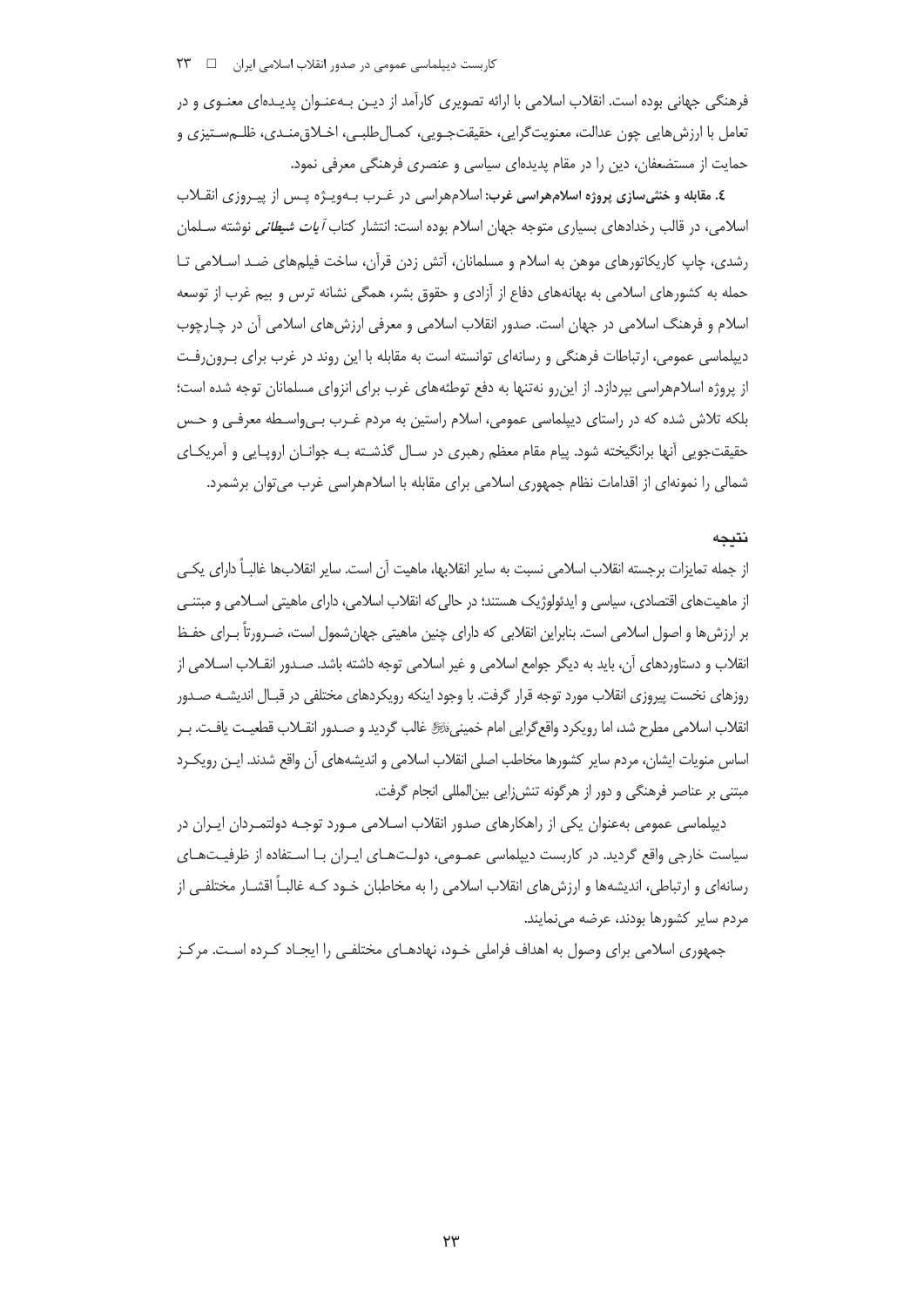فرهنگی جهانی بوده است. انقلاب اسلامی با ارائه تصویری کارآمد از دیـن بـهعنـوان پدیـدهای معنـوی و در تعامل با ارزش هايي چون عدالت، معنويتگرايي، حقيقتجـويي، كمـال طلبـي، اخـلاق منـدي، ظلــه سـتيزي و حمایت از مستضعفان، دین را در مقام پدیدهای سیاسی و عنصری فرهنگی معرفی نمود.

٤. مقابله و خنثىسازى پروژه اسلامهراسى غرب: اسلامهراسى در غـرب بـهويـژه پـس از پيـروزى انقــلاب اسلامی، در قالب رخدادهای بسیاری متوجه جهان اسلام بوده است: انتشار کتاب *آیات شیطانی* نوشته ســلمان رشدی، چاپ کاریکاتورهای موهن به اسلام و مسلمانان، آتش زدن قرآن، ساخت فیلمهای ضد اسلامی تـا حمله به کشورهای اسلامی به بهانههای دفاع از آزادی و حقوق بشر، همگی نشانه ترس و بیم غرب از توسعه اسلام و فرهنگ اسلامی در جهان است. صدور انقلاب اسلامی و معرفی ارزش های اسلامی آن در چـارچوب دیپلماسی عمومی، ارتباطات فرهنگی و رسانهای توانسته است به مقابله با این روند در غرب برای بـرون رفـت از پروژه اسلامهراسی بیردازد. از این و نهتنها به دفع توطئههای غرب برای انزوای مسلمانان توجه شده است؛ بلکه تلاش شده که در راستای دیپلماسی عمومی، اسلام راستین به مردم غـرب بـی٬واسـطه معرفـی و حـس حقیقتجویی آنها برانگیخته شود. پیام مقام معظم رهبری در سـال گذشـته بـه جوانـان اروپـایی و آمریکـای شمالی را نمونهای از اقدامات نظام جمهوری اسلامی برای مقابله با اسلامهراسی غرب می توان برشمرد.

# نتىجە

از جمله تمایزات برجسته انقلاب اسلامی نسبت به سایر انقلابها، ماهیت آن است. سایر انقلابها غالباً دارای یکبی ز ماهیتهای اقتصادی، سیاسی و ایدئولوژیک هستند؛ در حالی که انقلاب اسلامی، دارای ماهیتی اسـلامی و مبتنـی بر ارزش ها و اصول اسلامی است. بنابراین انقلابی که دارای چنین ماهیتی جهانشمول است، ضـرورتاً بـرای حفـظ لقلاب و دستاوردهای آن، باید به دیگر جوامع اسلامی و غیر اسلامی توجه داشته باشد. صـدور انقــلاب اســلامی از روزهای نخست پیروزی انقلاب مورد توجه قرار گرفت. با وجود اینکه رویکردهای مختلفی در قبـال اندیشــه صــدور نقلاب اسلامي مطرح شد، اما رويكرد واقع گرايي امام خمينيءَنَّ غالب گرديد و صـدور انقــلاب قطعيـت يافـت. بـر اساس منويات ايشان، مردم ساير كشورها مخاطب اصلى انقلاب اسلامي و انديشههاي آن واقع شدند. ايـن رويكـرد مبتنی بر عناصر فرهنگی و دور از هرگونه تنشiایی بین|لمللی انجام گرفت.

دیپلماسی عمومی بهعنوان یکی از راهکارهای صدور انقلاب اسـلامی مـورد توجـه دولتمـردان ایـران در سیاست خارجی واقع گردید. در کاربست دیپلماسی عمـومی، دولـتـهـای ایــران بـا اسـتفاده از ظرفیــتـهـای رسانهای و ارتباطی، اندیشهها و ارزش های انقلاب اسلامی را به مخاطبان خــود کــه غالبـاً اقشــار مختلفــی از مردم سایر کشورها بودند، عرضه می نمایند.

جمهوری اسلامی برای وصول به اهداف فراملی خـود، نهادهــای مختلفــی را ایجــاد کــرده اســت. مرکــز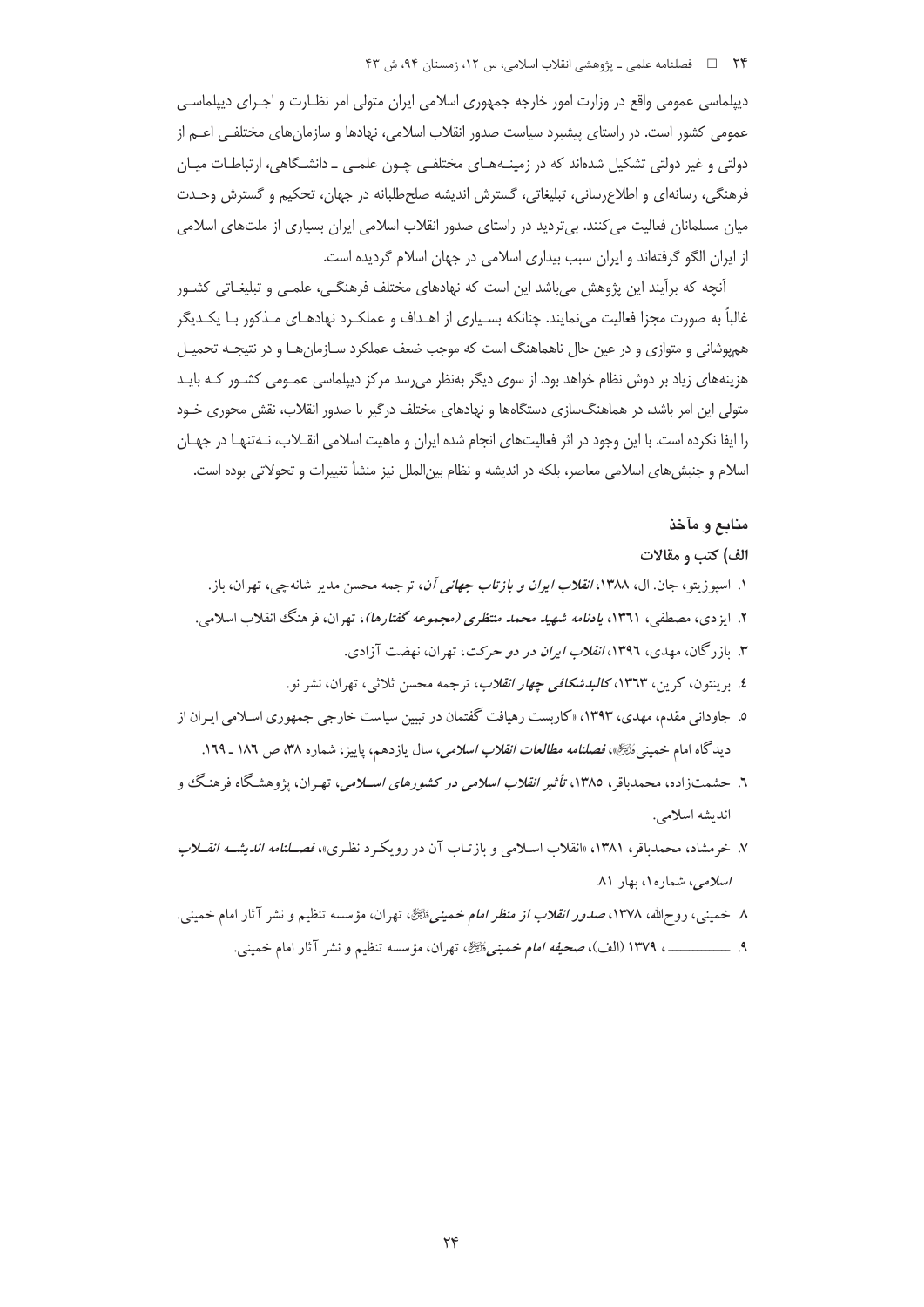دیپلماسی عمومی واقع در وزارت امور خارجه جمهوری اسلامی ایران متولی امر نظـارت و اجـرای دیپلماسـی عمومی کشور است. در راستای پیشبرد سیاست صدور انقلاب اسلامی، نهادها و سازمان های مختلفـی اعــم از دولتی و غیر دولتی تشکیل شدهاند که در زمینـههـای مختلفـی چـون علمـی ـ دانشـگاهی، ارتباطـات میـان فرهنگی، رسانهای و اطلاعرسانی، تبلیغاتی، گسترش اندیشه صلحطلبانه در جهان، تحکیم و گسترش وحـدت میان مسلمانان فعالیت می کنند. بیتردید در راستای صدور انقلاب اسلامی ایران بسیاری از ملتهای اسلامی از ایران الگو گرفتهاند و ایران سبب بیداری اسلامی در جهان اسلام گردیده است.

آنچه که برآیند این پژوهش می باشد این است که نهادهای مختلف فرهنگی، علمـی و تبلیغـاتی کشـور غالباً به صورت مجزا فعالیت مینمایند. چنانکه بسـیاری از اهـداف و عملکـرد نهادهـای مـذکور بـا یکـدیگر هم یوشانی و متوازی و در عین حال ناهماهنگ است که موجب ضعف عملکرد سـازمان هـا و در نتیجـه تحمیـل هزینههای زیاد بر دوش نظام خواهد بود. از سوی دیگر بهنظر میرسد مرکز دیپلماسی عمـومی کشـور کـه بایـد متولی این امر باشد، در هماهنگسازی دستگاهها و نهادهای مختلف درگیر با صدور انقلاب، نقش محوری خـود را ایفا نکرده است. با این وجود در اثر فعالیتهای انجام شده ایران و ماهیت اسلامی انقـلاب، نـهتنهـا در جهـان اسلام و جنبشهای اسلامی معاصر، بلکه در اندیشه و نظام بین|لملل نیز منشأ تغییرات و تحولاتی بوده است.

# منابع و مآخذ

### الف) کتب و مقالات

- ۱. اسپوزیتو، جان. ال، ۱۳۸۸، *انقلاب ایران و بازتاب جهانی آن*، ترجمه محسن مدیر شانهچی، تهران، باز.
- ۲. ایزدی، مصطفی، ۱۳٦۱، *یادنامه شهید محمد منتظری (مجموعه گفتارها)*، تهران، فرهنگ انقلاب اسلامی.
	- ۳. بازرگان، مهدی، ۱۳۹٦، *انقلاب ایران در دو حرکت*، تهران، نهضت آزادی.
	- ٤. برينتون، كرين، ١٣٦٣، *كالبدشكافي چهار انقلاب*، ترجمه محسن ثلاثي، تهران، نشر نو.
- ۵. جاودانی مقدم، مهدی، ۱۳۹۳، «کاربست رهیافت گفتمان در تبیین سیاست خارجی جمهوری اسـلامی ایـران از ديدگاه امام خميني ذَلتَيْرٌ»، *فصلنامه مطالعات انقلاب اسلامي،* سال يازدهم، ياييز، شماره ٣٨، ص ١٨٦ ـ ١٦٩.
- ٦. حشمتزاده، محمدباقر، ١٣٨٥، ت*أثير انقلاب اسلامي در كشورهاي اســلامي،* تهـران، يژوهشـگاه فرهنـگ و انديشه اسلامي.
- ۷. خرمشاد، محمدباقر، ۱۳۸۱، «انقلاب اسـلامی و بازتـاب آن در رویکـرد نظـری»، *فصــلنامه اندیشــه انقــلاب* اسلامی، شماره۱، بهار ۸۱.
- ۸ خمینی، روحالله، ۱۳۷۸، *صدور انقلاب از منظر امام خمینی نُاچَنَّ*، تهران، مؤسسه تنظیم و نشر آثار امام خمینی.
	- ٩. ــــــــــــــــــــ ١٣٧٩ (الف)، صحي*فه امام خميني ذَلِّيَّةٌ*، تهران، مؤسسه تنظيم و نشر آثار امام خميني.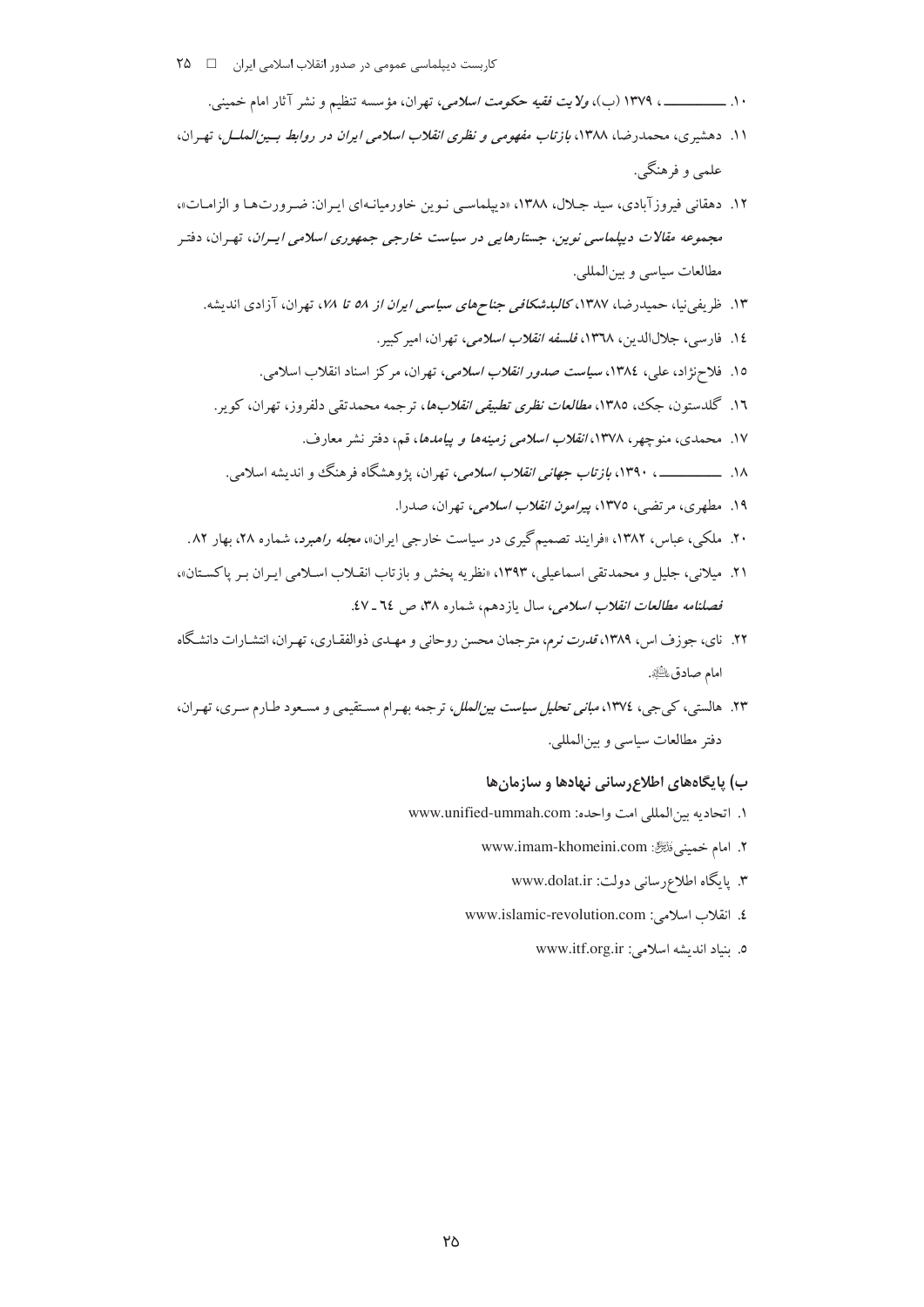- ۱۰. ـــــــــــــــــــ ۱۳۷۹ (ب)، *ولايت فقيه حكومت اسلامي،* تهران، مؤسسه تنظيم و نشر آثار امام خميني.
- ١١. دهشیری، محمدرضا، ١٣٨٨، بازتاب مفهومی و نظری انقلاب اسلامی ایران در روابط بسین الملسل، تهران، علمي و فرهنگي.
- ۱۲. دهقانی فیروز آبادی، سید جلال، ۱۳۸۸، «دیپلماسی نوین خاورمیانهای ایران: ضرورتها و الزامات»، مجم*وعه مقالات دیپلماسی نوین، جستارهایی در سیاست خارجی جمهوری اسلامی ایسران*، تهران، دفتر مطالعات سياسي وبين المللي.
	- ۱۳. ظریفی نیا، حمیدرضا، ۱۳۸۷، *کالبدشکافی جناحهای سیاسی ایران از ۵۸ تا ۱۸۸*، تهران، آزادی اندیشه.
		- ١٤. فارسي، جلالالدين، ١٣٦٨، *فلسفه انقلاب اسلامي،* تهران، اميركيير.
		- ١٥. فلاحزاد، علي، ١٣٨٤، *سياست صدور انقلاب اسلامي،* تهران، مركز اسناد انقلاب اسلامي.
		- ۱۲. گلدستون، جک، ۱۳۸۵، *مطالعات نظری تطبیقی انقلابها*، ترجمه محمدتقی دلفروز، تهران، کویر.
			- ۱۷. محمدی، منوچهر، ۱۳۷۸، *انقلاب اسلامی زمینهها و پیامدها*، قم، دفتر نشر معارف.
			- ۱۸. ــــــــــــــــــــ ۱۳۹۰، *بازتاب جهانی انقلاب اسلامی*، تهران، پژوهشگاه فرهنگ و اندیشه اسلامی.
				- ۱۹. مطهري، مرتضي، ١٣٧٥، پير*امون انقلاب اسلامي*، تهران، صدرا.
- ۲۰. ملکې، عباس، ۱۳۸۲، «فرایند تصمیم گیری در سیاست خارجی ایران»، *مجله راهبرد*، شماره ۲۸، بهار ۸۲.
- ٢١. ميلاني، جليل و محمدتقي اسماعيلي، ١٣٩٣، «نظريه يخش و بازتاب انقـلاب اسـلامي ايـران بـر ياكسـتان»، فص*لنامه مطالعات انقلاب اسلامی*، سال یازدهم، شماره ۳۸، ص ۲۶ ـ ٤٧.
- ۲۲. نای، جوزف اس، ۱۳۸۹، *قدرت نرم*، مترجمان محسن روحانی و مهـدی ذوالفقـاری، تهـران، انتشـارات دانشـگاه امام صادق ﷺ.
- ۲۳. هالستي، کې جي، ۱۳۷٤، *مباني تحليل سياست پين الملل*، ترجمه بهـرام مسـتقيمي و مسـعود طـارم سـري، تهـران، دفتر مطالعات سياسي و بين|لمللي.

### ب) پایگاههای اطلاع,سانی نهادها و سازمان ها

- ١. اتحاديه بين المللي امت واحده: www.unified-ummah.com
	- ٢. امام خميني فَتَتَرَكَ: www.imam-khomeini.com
		- ۳. یابگاه اطلاعرسانی دولت: www.dolat.ir
	- ٤. انقلاب اسلامي: www.islamic-revolution.com
		- 0. بنياد انديشه اسلامي: www.itf.org.ir